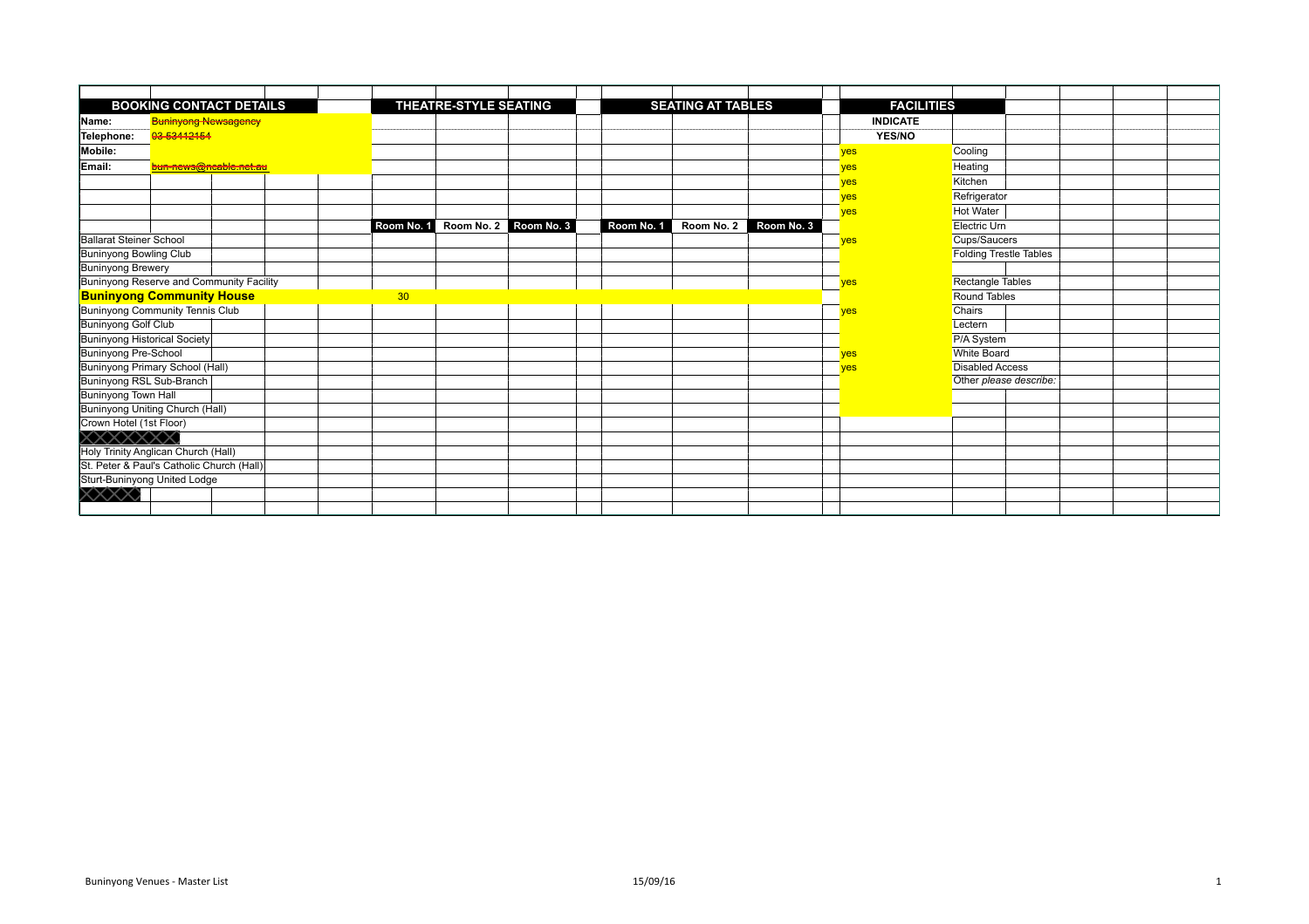|                                                                      | <b>BOOKING CONTACT DETAILS</b> |  |            | <b>THEATRE-STYLE SEATING</b> |            |            | <b>SEATING AT TABLES</b> |            |            | <b>FACILITIES</b> |                               |  |  |
|----------------------------------------------------------------------|--------------------------------|--|------------|------------------------------|------------|------------|--------------------------|------------|------------|-------------------|-------------------------------|--|--|
| Name:                                                                | <b>Buninyong Newsagency</b>    |  |            |                              |            |            |                          |            |            | <b>INDICATE</b>   |                               |  |  |
| Telephone:                                                           | 03 53412154                    |  |            |                              |            |            |                          |            |            | YES/NO            |                               |  |  |
| Mobile:                                                              |                                |  |            |                              |            |            |                          |            | <b>ves</b> |                   | Cooling                       |  |  |
| Email:                                                               | bun-news@ncable.net.au         |  |            |                              |            |            |                          |            | yes        |                   | Heating                       |  |  |
|                                                                      |                                |  |            |                              |            |            |                          |            | <b>ves</b> |                   | Kitchen                       |  |  |
|                                                                      |                                |  |            |                              |            |            |                          |            | <b>ves</b> |                   | Refrigerator                  |  |  |
|                                                                      |                                |  |            |                              |            |            |                          |            | <b>Ves</b> |                   | Hot Water                     |  |  |
|                                                                      |                                |  | Room No. 1 | Room No. 2                   | Room No. 3 | Room No. 1 | Room No. 2               | Room No. 3 |            |                   | Electric Urn                  |  |  |
| <b>Ballarat Steiner School</b>                                       |                                |  |            |                              |            |            |                          |            | <b>ves</b> |                   | Cups/Saucers                  |  |  |
| Buninyong Bowling Club                                               |                                |  |            |                              |            |            |                          |            |            |                   | <b>Folding Trestle Tables</b> |  |  |
| <b>Buninyong Brewery</b>                                             |                                |  |            |                              |            |            |                          |            |            |                   |                               |  |  |
| Buninyong Reserve and Community Facility                             |                                |  |            |                              |            |            |                          |            | <b>Ves</b> |                   | <b>Rectangle Tables</b>       |  |  |
| <b>Buninyong Community House</b>                                     |                                |  | 30         |                              |            |            |                          |            |            |                   | <b>Round Tables</b>           |  |  |
| Buninyong Community Tennis Club                                      |                                |  |            |                              |            |            |                          |            | <b>Ves</b> |                   | <b>Chairs</b>                 |  |  |
| <b>Buninyong Golf Club</b>                                           |                                |  |            |                              |            |            |                          |            |            |                   | Lectern                       |  |  |
| <b>Buninyong Historical Society</b>                                  |                                |  |            |                              |            |            |                          |            |            |                   | P/A System                    |  |  |
| Buninyong Pre-School                                                 |                                |  |            |                              |            |            |                          |            | <b>ves</b> |                   | White Board                   |  |  |
| Buninyong Primary School (Hall)                                      |                                |  |            |                              |            |            |                          |            | <b>ves</b> |                   | <b>Disabled Access</b>        |  |  |
| Buninyong RSL Sub-Branch                                             |                                |  |            |                              |            |            |                          |            |            |                   | Other please describe:        |  |  |
| <b>Buninyong Town Hall</b>                                           |                                |  |            |                              |            |            |                          |            |            |                   |                               |  |  |
| Buninyong Uniting Church (Hall)                                      |                                |  |            |                              |            |            |                          |            |            |                   |                               |  |  |
| Crown Hotel (1st Floor)                                              |                                |  |            |                              |            |            |                          |            |            |                   |                               |  |  |
| $\times\!\!\times\!\!\times\!\!\times\!\!\times\!\!\times\!\!\times$ |                                |  |            |                              |            |            |                          |            |            |                   |                               |  |  |
| Holy Trinity Anglican Church (Hall)                                  |                                |  |            |                              |            |            |                          |            |            |                   |                               |  |  |
| St. Peter & Paul's Catholic Church (Hall)                            |                                |  |            |                              |            |            |                          |            |            |                   |                               |  |  |
| Sturt-Buninyong United Lodge                                         |                                |  |            |                              |            |            |                          |            |            |                   |                               |  |  |
| $\times\!\!\times\!\!\times$                                         |                                |  |            |                              |            |            |                          |            |            |                   |                               |  |  |
|                                                                      |                                |  |            |                              |            |            |                          |            |            |                   |                               |  |  |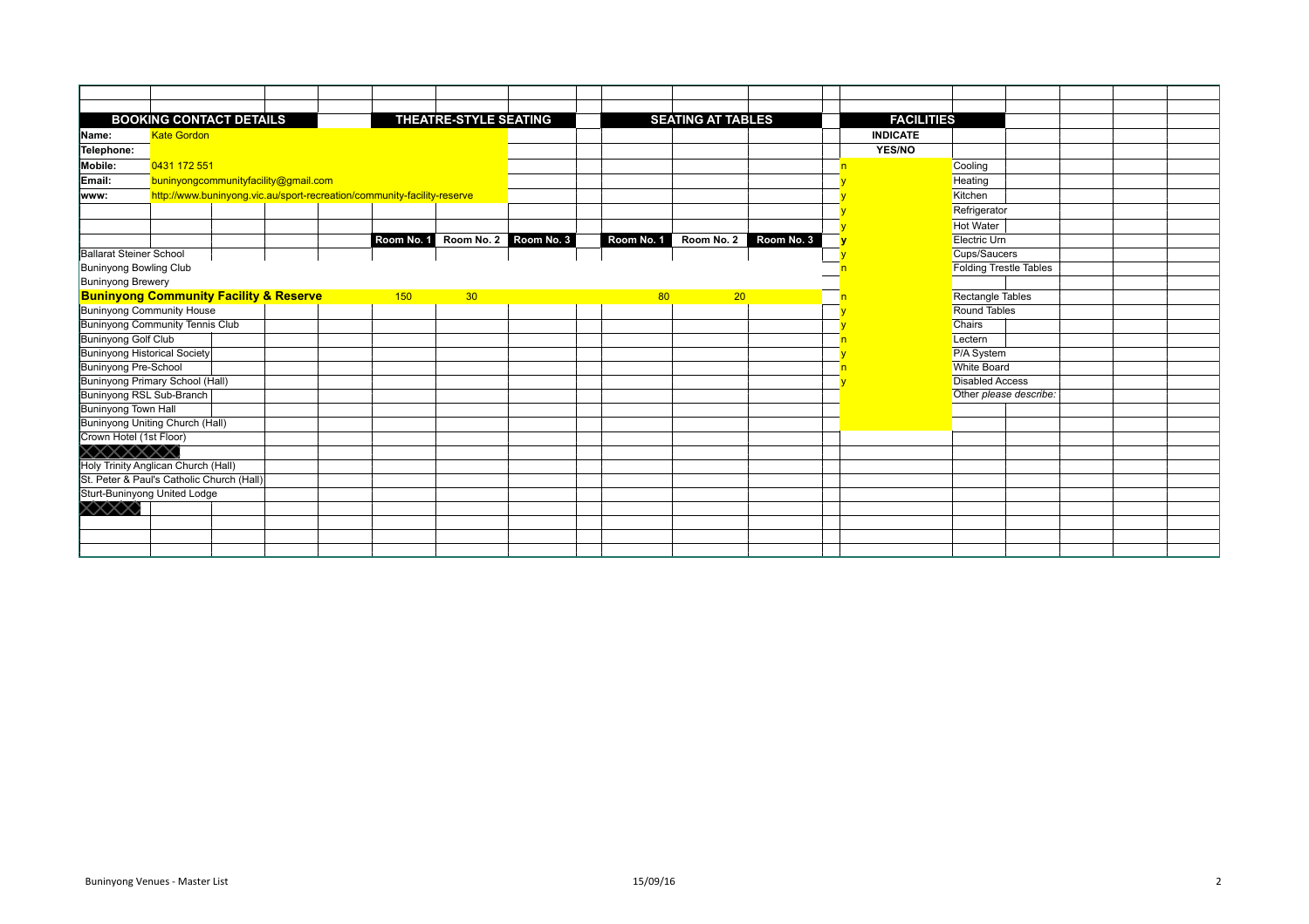|                                                   | <b>BOOKING CONTACT DETAILS</b>       |  |                                                                         | <b>THEATRE-STYLE SEATING</b> |                       |            | <b>SEATING AT TABLES</b> |            | <b>FACILITIES</b> |                               |  |  |
|---------------------------------------------------|--------------------------------------|--|-------------------------------------------------------------------------|------------------------------|-----------------------|------------|--------------------------|------------|-------------------|-------------------------------|--|--|
| Name:                                             | <b>Kate Gordon</b>                   |  |                                                                         |                              |                       |            |                          |            | <b>INDICATE</b>   |                               |  |  |
| Telephone:                                        |                                      |  |                                                                         |                              |                       |            |                          |            | <b>YES/NO</b>     |                               |  |  |
| Mobile:                                           | 0431 172 551                         |  |                                                                         |                              |                       |            |                          |            |                   | Cooling                       |  |  |
| Email:                                            | buninyongcommunityfacility@gmail.com |  |                                                                         |                              |                       |            |                          |            |                   | Heating                       |  |  |
| www:                                              |                                      |  | http://www.buninyong.vic.au/sport-recreation/community-facility-reserve |                              |                       |            |                          |            |                   | Kitchen                       |  |  |
|                                                   |                                      |  |                                                                         |                              |                       |            |                          |            |                   | Refrigerator                  |  |  |
|                                                   |                                      |  |                                                                         |                              |                       |            |                          |            |                   | Hot Water                     |  |  |
|                                                   |                                      |  | Room No. 1                                                              |                              | Room No. 2 Room No. 3 | Room No. 1 | Room No. 2               | Room No. 3 |                   | <b>Electric Urn</b>           |  |  |
| <b>Ballarat Steiner School</b>                    |                                      |  |                                                                         |                              |                       |            |                          |            |                   | Cups/Saucers                  |  |  |
| Buninyong Bowling Club                            |                                      |  |                                                                         |                              |                       |            |                          |            |                   | <b>Folding Trestle Tables</b> |  |  |
| <b>Buninyong Brewery</b>                          |                                      |  |                                                                         |                              |                       |            |                          |            |                   |                               |  |  |
| <b>Buninyong Community Facility &amp; Reserve</b> |                                      |  | 150                                                                     | 30 <sub>o</sub>              |                       | 80         | 20                       |            |                   | <b>Rectangle Tables</b>       |  |  |
| Buninyong Community House                         |                                      |  |                                                                         |                              |                       |            |                          |            |                   | <b>Round Tables</b>           |  |  |
| Buninyong Community Tennis Club                   |                                      |  |                                                                         |                              |                       |            |                          |            |                   | Chairs                        |  |  |
| Buninyong Golf Club                               |                                      |  |                                                                         |                              |                       |            |                          |            |                   | Lectern                       |  |  |
| <b>Buninyong Historical Society</b>               |                                      |  |                                                                         |                              |                       |            |                          |            |                   | P/A System                    |  |  |
| Buninyong Pre-School                              |                                      |  |                                                                         |                              |                       |            |                          |            |                   | <b>White Board</b>            |  |  |
| Buninyong Primary School (Hall)                   |                                      |  |                                                                         |                              |                       |            |                          |            |                   | <b>Disabled Access</b>        |  |  |
| Buninyong RSL Sub-Branch                          |                                      |  |                                                                         |                              |                       |            |                          |            |                   | Other please describe:        |  |  |
| <b>Buninyong Town Hall</b>                        |                                      |  |                                                                         |                              |                       |            |                          |            |                   |                               |  |  |
| Buninyong Uniting Church (Hall)                   |                                      |  |                                                                         |                              |                       |            |                          |            |                   |                               |  |  |
| Crown Hotel (1st Floor)                           |                                      |  |                                                                         |                              |                       |            |                          |            |                   |                               |  |  |
| XXXXXX                                            |                                      |  |                                                                         |                              |                       |            |                          |            |                   |                               |  |  |
| Holy Trinity Anglican Church (Hall)               |                                      |  |                                                                         |                              |                       |            |                          |            |                   |                               |  |  |
| St. Peter & Paul's Catholic Church (Hall)         |                                      |  |                                                                         |                              |                       |            |                          |            |                   |                               |  |  |
| Sturt-Buninyong United Lodge                      |                                      |  |                                                                         |                              |                       |            |                          |            |                   |                               |  |  |
| $\times\!\!\times\!\!\times\!\!\times$            |                                      |  |                                                                         |                              |                       |            |                          |            |                   |                               |  |  |
|                                                   |                                      |  |                                                                         |                              |                       |            |                          |            |                   |                               |  |  |
|                                                   |                                      |  |                                                                         |                              |                       |            |                          |            |                   |                               |  |  |
|                                                   |                                      |  |                                                                         |                              |                       |            |                          |            |                   |                               |  |  |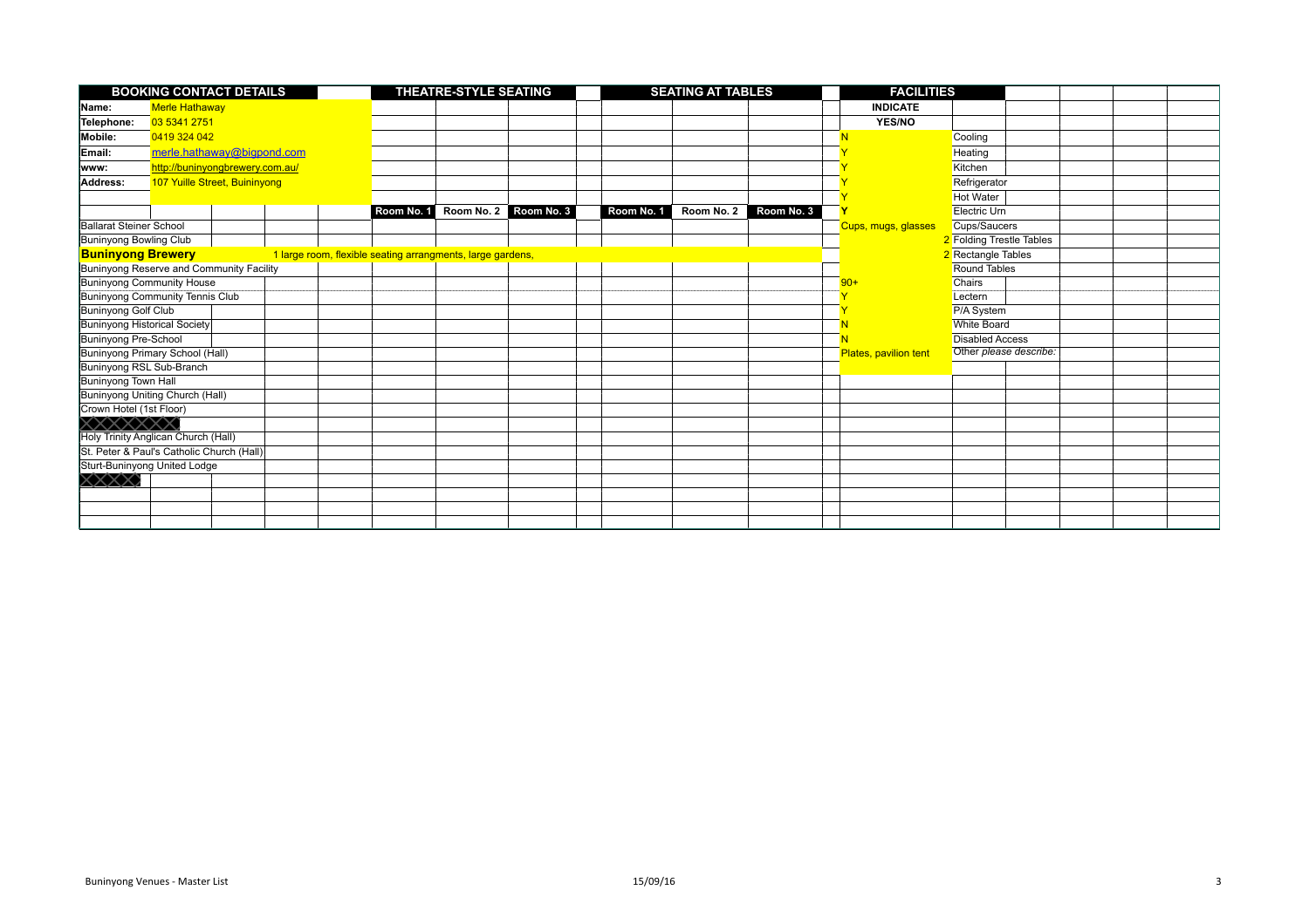|                                           | <b>BOOKING CONTACT DETAILS</b>  |  |            | THEATRE-STYLE SEATING                                      |            |            | <b>SEATING AT TABLES</b> |            | <b>FACILITIES</b>     |                          |  |  |
|-------------------------------------------|---------------------------------|--|------------|------------------------------------------------------------|------------|------------|--------------------------|------------|-----------------------|--------------------------|--|--|
| Name:                                     | <b>Merle Hathaway</b>           |  |            |                                                            |            |            |                          |            | <b>INDICATE</b>       |                          |  |  |
| Telephone:                                | 03 5341 2751                    |  |            |                                                            |            |            |                          |            | <b>YES/NO</b>         |                          |  |  |
| Mobile:                                   | 0419 324 042                    |  |            |                                                            |            |            |                          |            |                       | Cooling                  |  |  |
| Email:                                    | merle.hathaway@bigpond.com      |  |            |                                                            |            |            |                          |            |                       | Heating                  |  |  |
| www:                                      | http://buninyongbrewery.com.au/ |  |            |                                                            |            |            |                          |            |                       | Kitchen                  |  |  |
| Address:                                  | 107 Yuille Street, Buininyong   |  |            |                                                            |            |            |                          |            |                       | Refrigerator             |  |  |
|                                           |                                 |  |            |                                                            |            |            |                          |            |                       | Hot Water                |  |  |
|                                           |                                 |  | Room No. 1 | Room No. 2                                                 | Room No. 3 | Room No. 1 | Room No. 2               | Room No. 3 |                       | Electric Urn             |  |  |
| <b>Ballarat Steiner School</b>            |                                 |  |            |                                                            |            |            |                          |            | Cups, mugs, glasses   | Cups/Saucers             |  |  |
| Buninyong Bowling Club                    |                                 |  |            |                                                            |            |            |                          |            |                       | 2 Folding Trestle Tables |  |  |
| <b>Buninyong Brewery</b>                  |                                 |  |            | 1 large room, flexible seating arrangments, large gardens, |            |            |                          |            |                       | 2 Rectangle Tables       |  |  |
| Buninyong Reserve and Community Facility  |                                 |  |            |                                                            |            |            |                          |            |                       | Round Tables             |  |  |
| <b>Buninyong Community House</b>          |                                 |  |            |                                                            |            |            |                          |            | $90+$                 | Chairs                   |  |  |
| <b>Buninyong Community Tennis Club</b>    |                                 |  |            |                                                            |            |            |                          |            |                       | Lectern                  |  |  |
| <b>Buninyong Golf Club</b>                |                                 |  |            |                                                            |            |            |                          |            |                       | P/A System               |  |  |
| Buninyong Historical Society              |                                 |  |            |                                                            |            |            |                          |            |                       | White Board              |  |  |
| Buninyong Pre-School                      |                                 |  |            |                                                            |            |            |                          |            |                       | <b>Disabled Access</b>   |  |  |
| Buninyong Primary School (Hall)           |                                 |  |            |                                                            |            |            |                          |            | Plates, pavilion tent | Other please describe:   |  |  |
| Buninyong RSL Sub-Branch                  |                                 |  |            |                                                            |            |            |                          |            |                       |                          |  |  |
| <b>Buninyong Town Hall</b>                |                                 |  |            |                                                            |            |            |                          |            |                       |                          |  |  |
| Buninyong Uniting Church (Hall)           |                                 |  |            |                                                            |            |            |                          |            |                       |                          |  |  |
| Crown Hotel (1st Floor)                   |                                 |  |            |                                                            |            |            |                          |            |                       |                          |  |  |
| $\times\times\times\times\times\times$    |                                 |  |            |                                                            |            |            |                          |            |                       |                          |  |  |
| Holy Trinity Anglican Church (Hall)       |                                 |  |            |                                                            |            |            |                          |            |                       |                          |  |  |
| St. Peter & Paul's Catholic Church (Hall) |                                 |  |            |                                                            |            |            |                          |            |                       |                          |  |  |
| Sturt-Buninyong United Lodge              |                                 |  |            |                                                            |            |            |                          |            |                       |                          |  |  |
| $\times$ $\times$                         |                                 |  |            |                                                            |            |            |                          |            |                       |                          |  |  |
|                                           |                                 |  |            |                                                            |            |            |                          |            |                       |                          |  |  |
|                                           |                                 |  |            |                                                            |            |            |                          |            |                       |                          |  |  |
|                                           |                                 |  |            |                                                            |            |            |                          |            |                       |                          |  |  |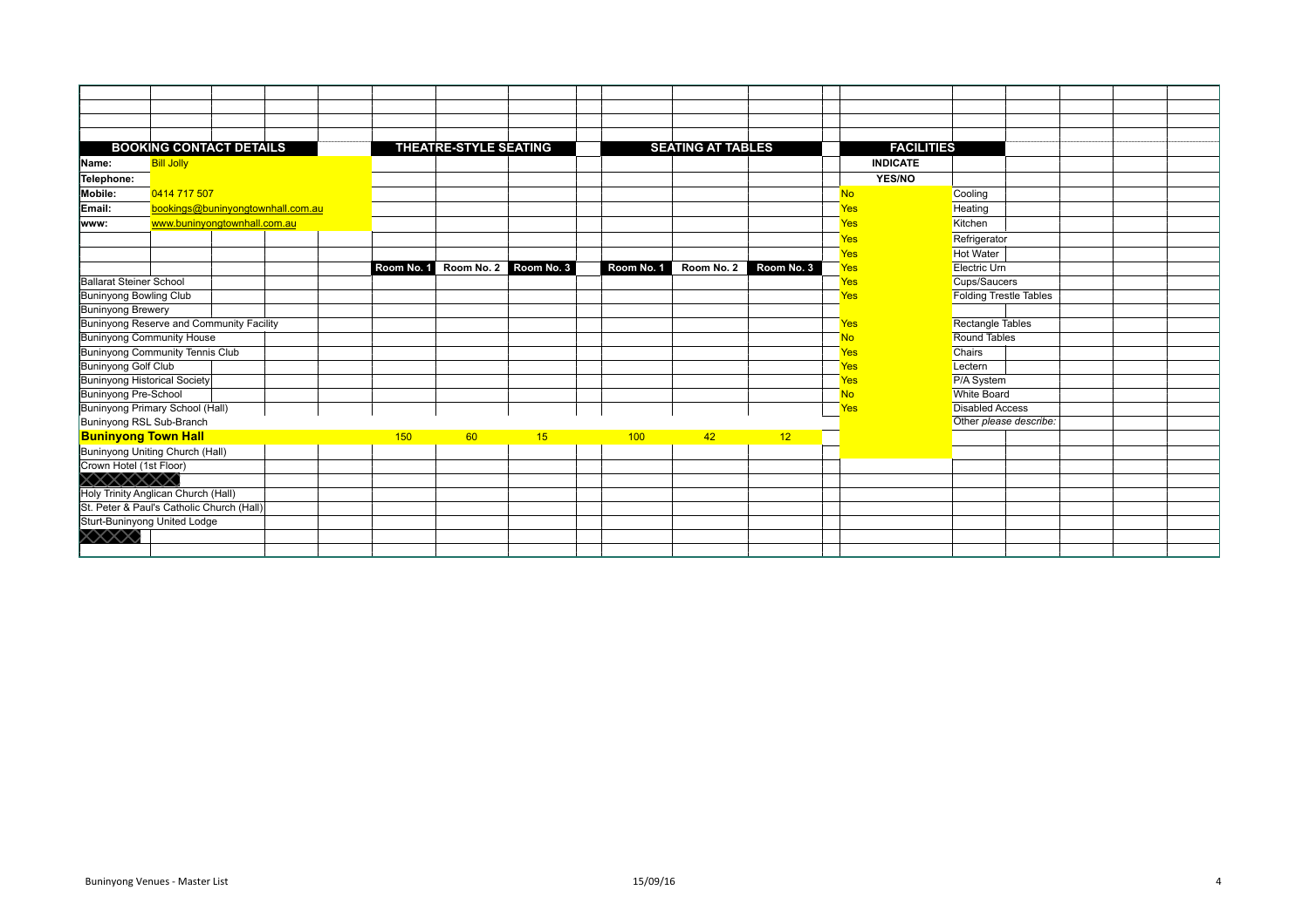|                                           | <b>BOOKING CONTACT DETAILS</b>    |  |            | <b>THEATRE-STYLE SEATING</b> |            |            | <b>SEATING AT TABLES</b> |            |           | <b>FACILITIES</b> |                               |                        |  |  |
|-------------------------------------------|-----------------------------------|--|------------|------------------------------|------------|------------|--------------------------|------------|-----------|-------------------|-------------------------------|------------------------|--|--|
| Name:                                     | <b>Bill Jolly</b>                 |  |            |                              |            |            |                          |            |           | <b>INDICATE</b>   |                               |                        |  |  |
| Telephone:                                |                                   |  |            |                              |            |            |                          |            |           | YES/NO            |                               |                        |  |  |
| Mobile:                                   | 0414 717 507                      |  |            |                              |            |            |                          |            | <b>No</b> |                   | Cooling                       |                        |  |  |
| Email:                                    | bookings@buninyongtownhall.com.au |  |            |                              |            |            |                          |            | Yes       |                   | Heating                       |                        |  |  |
| www:                                      | www.buninyongtownhall.com.au      |  |            |                              |            |            |                          |            | Yes       |                   | Kitchen                       |                        |  |  |
|                                           |                                   |  |            |                              |            |            |                          |            | Yes       |                   | Refrigerator                  |                        |  |  |
|                                           |                                   |  |            |                              |            |            |                          |            | Yes       |                   | Hot Water                     |                        |  |  |
|                                           |                                   |  | Room No. 1 | Room No. 2                   | Room No. 3 | Room No. 1 | Room No. 2               | Room No. 3 | Yes       |                   | <b>Electric Urn</b>           |                        |  |  |
| <b>Ballarat Steiner School</b>            |                                   |  |            |                              |            |            |                          |            | Yes       |                   | Cups/Saucers                  |                        |  |  |
| <b>Buninyong Bowling Club</b>             |                                   |  |            |                              |            |            |                          |            | Yes       |                   | <b>Folding Trestle Tables</b> |                        |  |  |
| <b>Buninyong Brewery</b>                  |                                   |  |            |                              |            |            |                          |            |           |                   |                               |                        |  |  |
| Buninyong Reserve and Community Facility  |                                   |  |            |                              |            |            |                          |            | Yes       |                   | Rectangle Tables              |                        |  |  |
| <b>Buninyong Community House</b>          |                                   |  |            |                              |            |            |                          |            | <b>No</b> |                   | <b>Round Tables</b>           |                        |  |  |
| Buninyong Community Tennis Club           |                                   |  |            |                              |            |            |                          |            | Yes       |                   | <b>Chairs</b>                 |                        |  |  |
| Buninyong Golf Club                       |                                   |  |            |                              |            |            |                          |            | Yes       |                   | Lectern                       |                        |  |  |
| <b>Buninyong Historical Society</b>       |                                   |  |            |                              |            |            |                          |            | Yes       |                   | P/A System                    |                        |  |  |
| Buninyong Pre-School                      |                                   |  |            |                              |            |            |                          |            | <b>No</b> |                   | White Board                   |                        |  |  |
| Buninyong Primary School (Hall)           |                                   |  |            |                              |            |            |                          |            | Yes       |                   | <b>Disabled Access</b>        |                        |  |  |
| Buninyong RSL Sub-Branch                  |                                   |  |            |                              |            |            |                          |            |           |                   |                               | Other please describe: |  |  |
| <b>Buninyong Town Hall</b>                |                                   |  | 150        | 60                           | 15         | 100        | 42                       | 12         |           |                   |                               |                        |  |  |
| Buninyong Uniting Church (Hall)           |                                   |  |            |                              |            |            |                          |            |           |                   |                               |                        |  |  |
| Crown Hotel (1st Floor)                   |                                   |  |            |                              |            |            |                          |            |           |                   |                               |                        |  |  |
| XXXXXXX                                   |                                   |  |            |                              |            |            |                          |            |           |                   |                               |                        |  |  |
| Holy Trinity Anglican Church (Hall)       |                                   |  |            |                              |            |            |                          |            |           |                   |                               |                        |  |  |
| St. Peter & Paul's Catholic Church (Hall) |                                   |  |            |                              |            |            |                          |            |           |                   |                               |                        |  |  |
| Sturt-Buninyong United Lodge              |                                   |  |            |                              |            |            |                          |            |           |                   |                               |                        |  |  |
| $\times\!\!\times\!\!\times\!\!\times$    |                                   |  |            |                              |            |            |                          |            |           |                   |                               |                        |  |  |
|                                           |                                   |  |            |                              |            |            |                          |            |           |                   |                               |                        |  |  |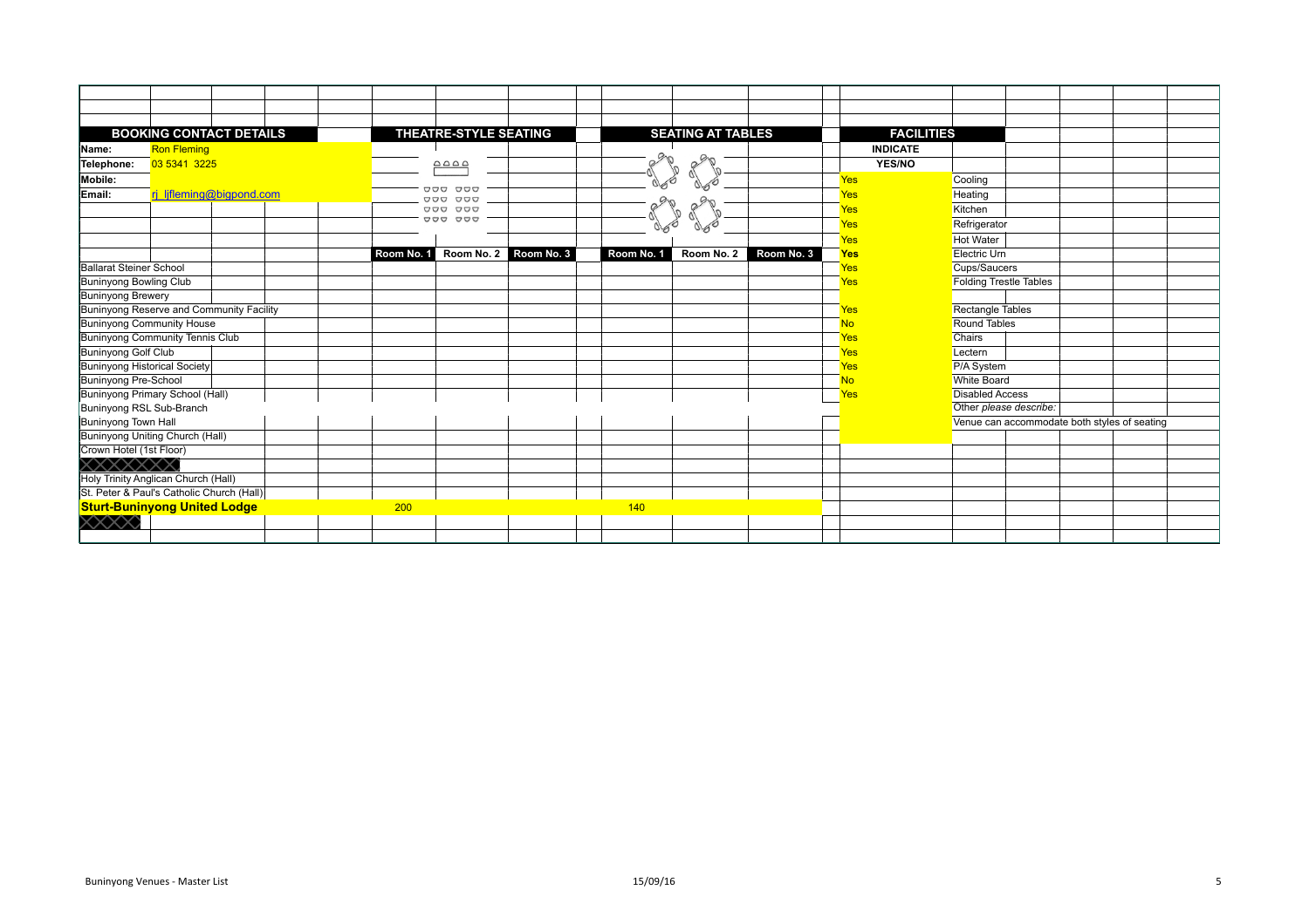|                                                | <b>BOOKING CONTACT DETAILS</b> |  |            | <b>THEATRE-STYLE SEATING</b>                                                 |                       |            | <b>SEATING AT TABLES</b> |            |            | <b>FACILITIES</b> |                                                  |  |                                              |  |
|------------------------------------------------|--------------------------------|--|------------|------------------------------------------------------------------------------|-----------------------|------------|--------------------------|------------|------------|-------------------|--------------------------------------------------|--|----------------------------------------------|--|
| Name:                                          | <b>Ron Fleming</b>             |  |            |                                                                              |                       |            |                          |            |            | <b>INDICATE</b>   |                                                  |  |                                              |  |
| Telephone:                                     | 03 5341 3225                   |  |            | $\begin{array}{c} \triangle & \triangle & \triangle & \triangle \end{array}$ |                       |            |                          |            |            | YES/NO            |                                                  |  |                                              |  |
| Mobile:                                        |                                |  |            |                                                                              |                       |            |                          |            | Yes        |                   | Cooling                                          |  |                                              |  |
| Email:                                         | ri lifleming@bigpond.com       |  |            | 555<br>ワワワ<br><b>DDD</b>                                                     |                       |            |                          |            | Yes        |                   | Heating                                          |  |                                              |  |
|                                                |                                |  |            | OOO<br><b>000</b>                                                            |                       |            |                          |            | Yes        |                   | Kitchen                                          |  |                                              |  |
|                                                |                                |  |            | 000 000                                                                      |                       |            |                          |            | Yes        |                   | Refrigerator                                     |  |                                              |  |
|                                                |                                |  |            |                                                                              |                       |            |                          |            | Yes        |                   | Hot Water                                        |  |                                              |  |
|                                                |                                |  | Room No. 1 |                                                                              | Room No. 2 Room No. 3 | Room No. 1 | Room No. 2               | Room No. 3 | <b>Yes</b> |                   | Electric Um                                      |  |                                              |  |
| <b>Ballarat Steiner School</b>                 |                                |  |            |                                                                              |                       |            |                          |            | Yes        |                   | Cups/Saucers                                     |  |                                              |  |
| <b>Buninyong Bowling Club</b>                  |                                |  |            |                                                                              |                       |            |                          |            | <b>Yes</b> |                   | <b>Folding Trestle Tables</b>                    |  |                                              |  |
| <b>Buninyong Brewery</b>                       |                                |  |            |                                                                              |                       |            |                          |            |            |                   |                                                  |  |                                              |  |
| Buninyong Reserve and Community Facility       |                                |  |            |                                                                              |                       |            |                          |            | Yes        |                   | <b>Rectangle Tables</b>                          |  |                                              |  |
| <b>Buninyong Community House</b>               |                                |  |            |                                                                              |                       |            |                          |            | <b>No</b>  |                   | <b>Round Tables</b>                              |  |                                              |  |
| Buninyong Community Tennis Club                |                                |  |            |                                                                              |                       |            |                          |            | Yes        |                   | <b>Chairs</b>                                    |  |                                              |  |
| <b>Buninyong Golf Club</b>                     |                                |  |            |                                                                              |                       |            |                          |            | Yes        |                   | Lectern                                          |  |                                              |  |
| <b>Buninyong Historical Society</b>            |                                |  |            |                                                                              |                       |            |                          |            | Yes        |                   | P/A System                                       |  |                                              |  |
| Buninyong Pre-School                           |                                |  |            |                                                                              |                       |            |                          |            | <b>No</b>  |                   | <b>White Board</b>                               |  |                                              |  |
| Buninyong Primary School (Hall)                |                                |  |            |                                                                              |                       |            |                          |            | Yes        |                   | <b>Disabled Access</b><br>Other please describe: |  |                                              |  |
| Buninyong RSL Sub-Branch                       |                                |  |            |                                                                              |                       |            |                          |            |            |                   |                                                  |  |                                              |  |
| Buninyong Town Hall                            |                                |  |            |                                                                              |                       |            |                          |            |            |                   |                                                  |  | Venue can accommodate both styles of seating |  |
| Buninyong Uniting Church (Hall)                |                                |  |            |                                                                              |                       |            |                          |            |            |                   |                                                  |  |                                              |  |
| Crown Hotel (1st Floor)                        |                                |  |            |                                                                              |                       |            |                          |            |            |                   |                                                  |  |                                              |  |
| XXXXXXX<br>Holy Trinity Anglican Church (Hall) |                                |  |            |                                                                              |                       |            |                          |            |            |                   |                                                  |  |                                              |  |
| St. Peter & Paul's Catholic Church (Hall)      |                                |  |            |                                                                              |                       |            |                          |            |            |                   |                                                  |  |                                              |  |
| <b>Sturt-Buninyong United Lodge</b>            |                                |  | 200        |                                                                              |                       | 140        |                          |            |            |                   |                                                  |  |                                              |  |
| $\times\!\!\times\!\!\times\!\!\times$         |                                |  |            |                                                                              |                       |            |                          |            |            |                   |                                                  |  |                                              |  |
|                                                |                                |  |            |                                                                              |                       |            |                          |            |            |                   |                                                  |  |                                              |  |
|                                                |                                |  |            |                                                                              |                       |            |                          |            |            |                   |                                                  |  |                                              |  |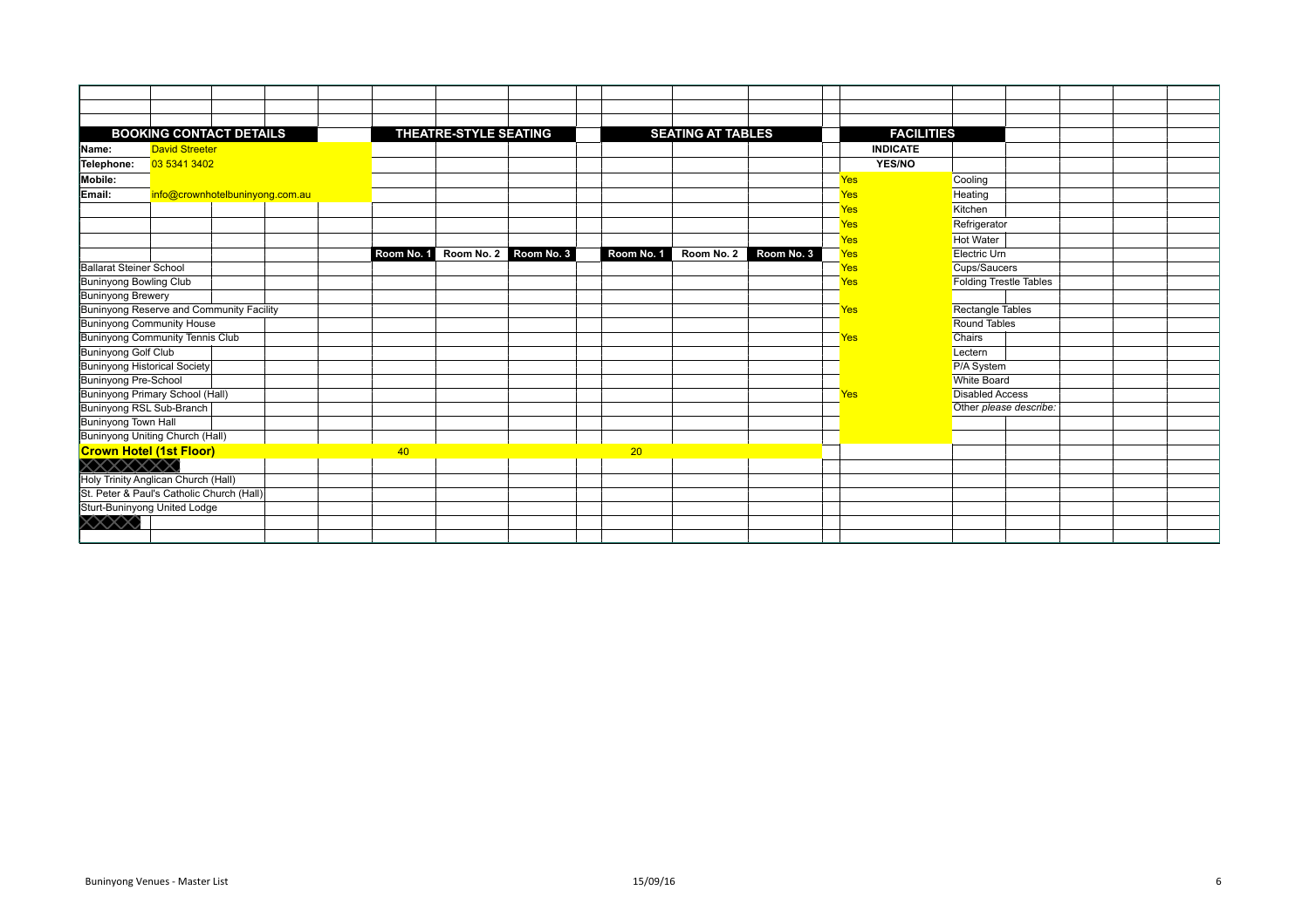|                                                                                  | <b>BOOKING CONTACT DETAILS</b>  |  |            | <b>THEATRE-STYLE SEATING</b> |            | <b>SEATING AT TABLES</b> |            |            | <b>FACILITIES</b> |                                                  |  |  |
|----------------------------------------------------------------------------------|---------------------------------|--|------------|------------------------------|------------|--------------------------|------------|------------|-------------------|--------------------------------------------------|--|--|
| Name:                                                                            | <b>David Streeter</b>           |  |            |                              |            |                          |            |            | <b>INDICATE</b>   |                                                  |  |  |
| Telephone:                                                                       | 03 5341 3402                    |  |            |                              |            |                          |            |            | YES/NO            |                                                  |  |  |
| Mobile:                                                                          |                                 |  |            |                              |            |                          |            | Yes        |                   | Cooling                                          |  |  |
| Email:                                                                           | info@crownhotelbuninyong.com.au |  |            |                              |            |                          |            | Yes        |                   | Heating                                          |  |  |
|                                                                                  |                                 |  |            |                              |            |                          |            | Yes        |                   | Kitchen                                          |  |  |
|                                                                                  |                                 |  |            |                              |            |                          |            | Yes        |                   | Refrigerator                                     |  |  |
|                                                                                  |                                 |  |            |                              |            |                          |            | Yes        |                   | Hot Water                                        |  |  |
|                                                                                  |                                 |  | Room No. 1 | Room No. 2 Room No. 3        | Room No. 1 | Room No. 2               | Room No. 3 | <b>Yes</b> |                   | Electric Urn                                     |  |  |
| <b>Ballarat Steiner School</b>                                                   |                                 |  |            |                              |            |                          |            | Yes        |                   | Cups/Saucers                                     |  |  |
| Buninyong Bowling Club                                                           |                                 |  |            |                              |            |                          |            | Yes        |                   | <b>Folding Trestle Tables</b>                    |  |  |
| <b>Buninyong Brewery</b>                                                         |                                 |  |            |                              |            |                          |            |            |                   |                                                  |  |  |
| Buninyong Reserve and Community Facility                                         |                                 |  |            |                              |            |                          |            | Yes        |                   | Rectangle Tables                                 |  |  |
| <b>Buninyong Community House</b>                                                 |                                 |  |            |                              |            |                          |            |            |                   | <b>Round Tables</b>                              |  |  |
| Buninyong Community Tennis Club                                                  |                                 |  |            |                              |            |                          |            | Yes        |                   | <b>Chairs</b>                                    |  |  |
| <b>Buninyong Golf Club</b>                                                       |                                 |  |            |                              |            |                          |            |            |                   | Lectern                                          |  |  |
| <b>Buninyong Historical Society</b>                                              |                                 |  |            |                              |            |                          |            |            |                   | P/A System                                       |  |  |
| <b>Buninyong Pre-School</b>                                                      |                                 |  |            |                              |            |                          |            |            |                   | <b>White Board</b>                               |  |  |
| Buninyong Primary School (Hall)                                                  |                                 |  |            |                              |            |                          |            | Yes        |                   | <b>Disabled Access</b><br>Other please describe: |  |  |
| Buninyong RSL Sub-Branch                                                         |                                 |  |            |                              |            |                          |            |            |                   |                                                  |  |  |
| Buninyong Town Hall                                                              |                                 |  |            |                              |            |                          |            |            |                   |                                                  |  |  |
| Buninyong Uniting Church (Hall)                                                  |                                 |  |            |                              |            |                          |            |            |                   |                                                  |  |  |
| <b>Crown Hotel (1st Floor)</b>                                                   |                                 |  | 40         |                              | 20         |                          |            |            |                   |                                                  |  |  |
| XXXXXX                                                                           |                                 |  |            |                              |            |                          |            |            |                   |                                                  |  |  |
| Holy Trinity Anglican Church (Hall)<br>St. Peter & Paul's Catholic Church (Hall) |                                 |  |            |                              |            |                          |            |            |                   |                                                  |  |  |
| Sturt-Buninyong United Lodge                                                     |                                 |  |            |                              |            |                          |            |            |                   |                                                  |  |  |
| $\times\!\!\times\!\!\times\!\!\times$                                           |                                 |  |            |                              |            |                          |            |            |                   |                                                  |  |  |
|                                                                                  |                                 |  |            |                              |            |                          |            |            |                   |                                                  |  |  |
|                                                                                  |                                 |  |            |                              |            |                          |            |            |                   |                                                  |  |  |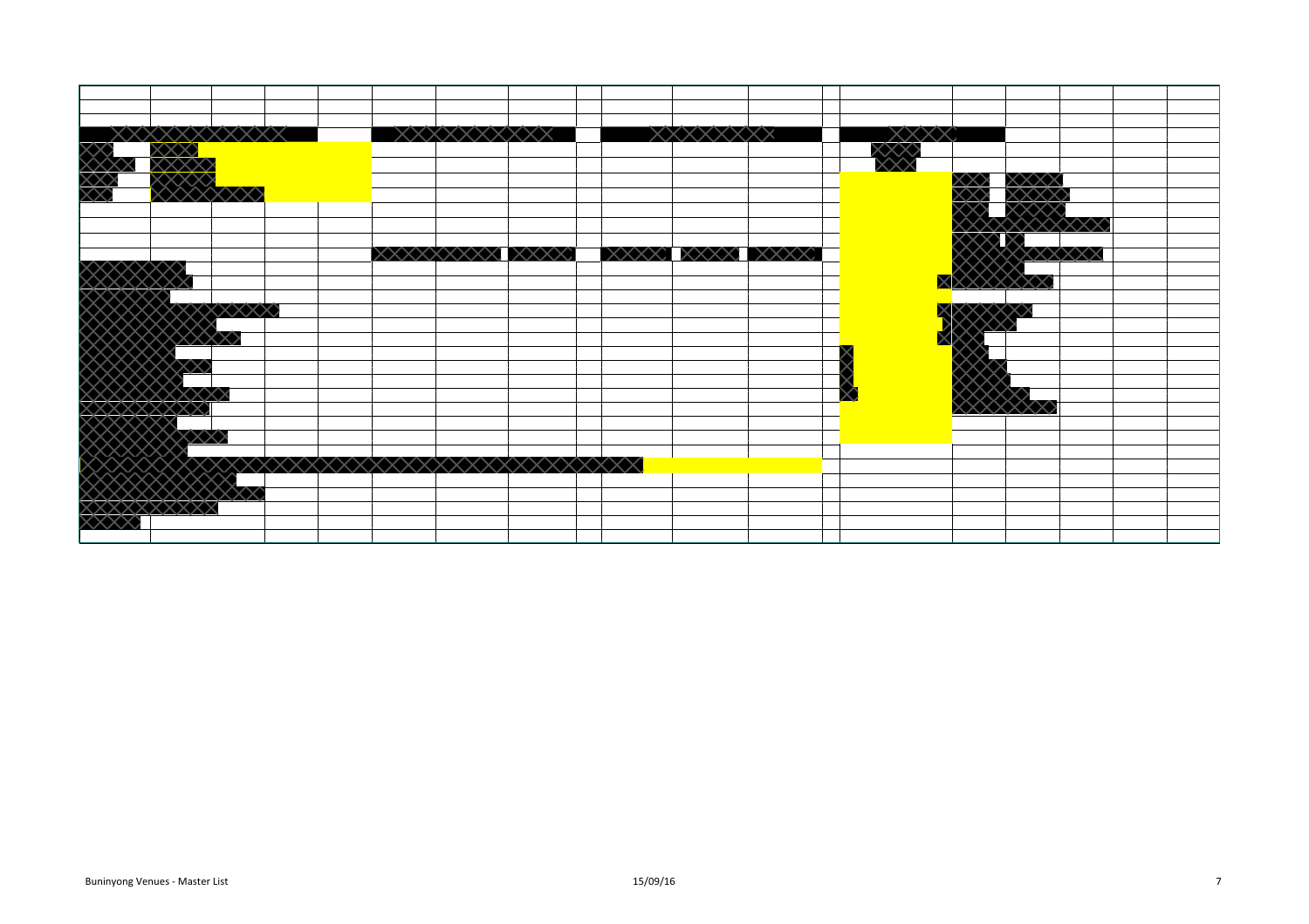|    | XXXXXXXXX<br>XXXXXX |        |  | <b>XXXXXXXXX</b>         |  | <b>XXXXXXXX</b>                     |  | XXXXX       |          |                                                                                                                                                                                                                                                                                                                                                                                                                                                                                                  |  |
|----|---------------------|--------|--|--------------------------|--|-------------------------------------|--|-------------|----------|--------------------------------------------------------------------------------------------------------------------------------------------------------------------------------------------------------------------------------------------------------------------------------------------------------------------------------------------------------------------------------------------------------------------------------------------------------------------------------------------------|--|
| XX |                     |        |  |                          |  |                                     |  |             |          |                                                                                                                                                                                                                                                                                                                                                                                                                                                                                                  |  |
|    |                     |        |  |                          |  |                                     |  |             |          |                                                                                                                                                                                                                                                                                                                                                                                                                                                                                                  |  |
|    |                     | XXXXXX |  |                          |  |                                     |  |             |          |                                                                                                                                                                                                                                                                                                                                                                                                                                                                                                  |  |
|    |                     |        |  |                          |  |                                     |  |             |          |                                                                                                                                                                                                                                                                                                                                                                                                                                                                                                  |  |
|    |                     |        |  |                          |  |                                     |  |             | $\infty$ |                                                                                                                                                                                                                                                                                                                                                                                                                                                                                                  |  |
|    |                     |        |  |                          |  |                                     |  |             |          |                                                                                                                                                                                                                                                                                                                                                                                                                                                                                                  |  |
|    |                     |        |  |                          |  | XXXXXXXXI XXXXIIII XXXXI XXXXI XXXX |  |             |          | $\leftarrow$ $\leftarrow$ $\leftarrow$ $\leftarrow$ $\leftarrow$ $\leftarrow$ $\leftarrow$ $\leftarrow$ $\leftarrow$ $\leftarrow$ $\leftarrow$ $\leftarrow$ $\leftarrow$ $\leftarrow$ $\leftarrow$ $\leftarrow$ $\leftarrow$ $\leftarrow$ $\leftarrow$ $\leftarrow$ $\leftarrow$ $\leftarrow$ $\leftarrow$ $\leftarrow$ $\leftarrow$ $\leftarrow$ $\leftarrow$ $\leftarrow$ $\leftarrow$ $\leftarrow$ $\leftarrow$ $\leftarrow$ $\leftarrow$ $\leftarrow$ $\leftarrow$ $\leftarrow$ $\leftarrow$ |  |
|    |                     |        |  |                          |  |                                     |  |             |          |                                                                                                                                                                                                                                                                                                                                                                                                                                                                                                  |  |
|    |                     |        |  |                          |  |                                     |  | $\boxtimes$ |          |                                                                                                                                                                                                                                                                                                                                                                                                                                                                                                  |  |
|    |                     |        |  |                          |  |                                     |  |             |          |                                                                                                                                                                                                                                                                                                                                                                                                                                                                                                  |  |
|    |                     | XXXXX  |  |                          |  |                                     |  |             |          |                                                                                                                                                                                                                                                                                                                                                                                                                                                                                                  |  |
|    | XXXX)               |        |  |                          |  |                                     |  |             |          |                                                                                                                                                                                                                                                                                                                                                                                                                                                                                                  |  |
|    |                     |        |  |                          |  |                                     |  |             |          |                                                                                                                                                                                                                                                                                                                                                                                                                                                                                                  |  |
|    |                     |        |  |                          |  |                                     |  |             |          |                                                                                                                                                                                                                                                                                                                                                                                                                                                                                                  |  |
|    |                     |        |  |                          |  |                                     |  |             |          |                                                                                                                                                                                                                                                                                                                                                                                                                                                                                                  |  |
|    |                     |        |  |                          |  |                                     |  |             |          |                                                                                                                                                                                                                                                                                                                                                                                                                                                                                                  |  |
|    |                     |        |  |                          |  |                                     |  |             |          |                                                                                                                                                                                                                                                                                                                                                                                                                                                                                                  |  |
|    | XXX                 |        |  |                          |  |                                     |  |             |          |                                                                                                                                                                                                                                                                                                                                                                                                                                                                                                  |  |
|    |                     |        |  |                          |  |                                     |  |             |          |                                                                                                                                                                                                                                                                                                                                                                                                                                                                                                  |  |
|    |                     |        |  | XXXXXXXXXXXXXXXXXXXXXXXX |  |                                     |  |             |          |                                                                                                                                                                                                                                                                                                                                                                                                                                                                                                  |  |
|    |                     |        |  |                          |  |                                     |  |             |          |                                                                                                                                                                                                                                                                                                                                                                                                                                                                                                  |  |
|    |                     |        |  |                          |  |                                     |  |             |          |                                                                                                                                                                                                                                                                                                                                                                                                                                                                                                  |  |
|    |                     |        |  |                          |  |                                     |  |             |          |                                                                                                                                                                                                                                                                                                                                                                                                                                                                                                  |  |
|    |                     |        |  |                          |  |                                     |  |             |          |                                                                                                                                                                                                                                                                                                                                                                                                                                                                                                  |  |
|    |                     |        |  |                          |  |                                     |  |             |          |                                                                                                                                                                                                                                                                                                                                                                                                                                                                                                  |  |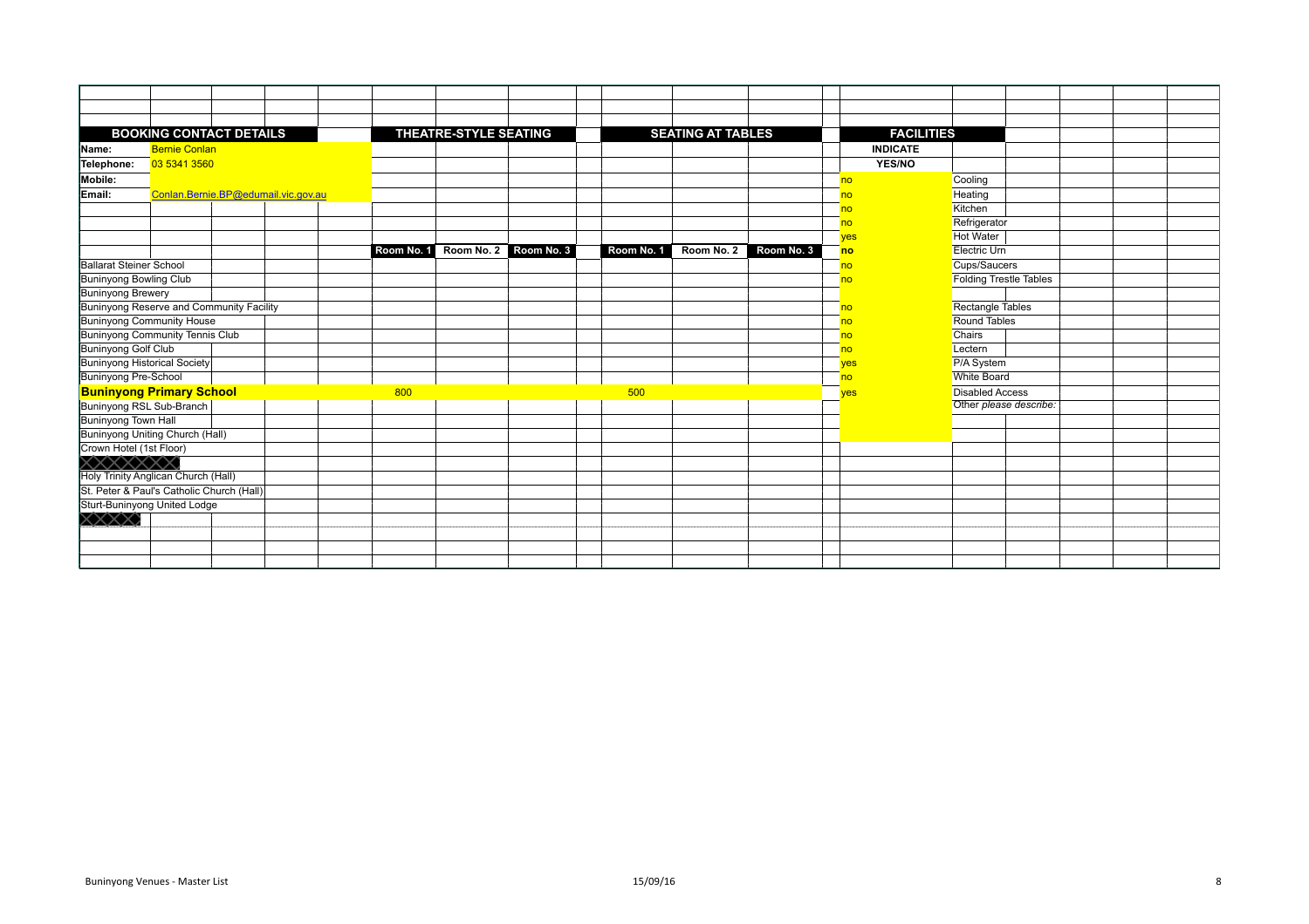|                                                 | <b>BOOKING CONTACT DETAILS</b>      |  |            | THEATRE-STYLE SEATING |            |            | <b>SEATING AT TABLES</b> |            |                | <b>FACILITIES</b> |                               |  |  |
|-------------------------------------------------|-------------------------------------|--|------------|-----------------------|------------|------------|--------------------------|------------|----------------|-------------------|-------------------------------|--|--|
| Name:                                           | <b>Bernie Conlan</b>                |  |            |                       |            |            |                          |            |                | <b>INDICATE</b>   |                               |  |  |
| Telephone:                                      | 03 5341 3560                        |  |            |                       |            |            |                          |            |                | YES/NO            |                               |  |  |
| Mobile:                                         |                                     |  |            |                       |            |            |                          |            | no             |                   | Cooling                       |  |  |
| Email:                                          | Conlan.Bernie.BP@edumail.vic.gov.au |  |            |                       |            |            |                          |            | n <sub>o</sub> |                   | Heating                       |  |  |
|                                                 |                                     |  |            |                       |            |            |                          |            | no             |                   | Kitchen                       |  |  |
|                                                 |                                     |  |            |                       |            |            |                          |            | n <sub>o</sub> |                   | Refrigerator                  |  |  |
|                                                 |                                     |  |            |                       |            |            |                          |            | yes            |                   | <b>Hot Water</b>              |  |  |
|                                                 |                                     |  | Room No. 1 | Room No. 2            | Room No. 3 | Room No. 1 | Room No. 2               | Room No. 3 | no             |                   | Electric Urn                  |  |  |
| <b>Ballarat Steiner School</b>                  |                                     |  |            |                       |            |            |                          |            | no             |                   | Cups/Saucers                  |  |  |
| Buninyong Bowling Club                          |                                     |  |            |                       |            |            |                          |            | no             |                   | <b>Folding Trestle Tables</b> |  |  |
| <b>Buninyong Brewery</b>                        |                                     |  |            |                       |            |            |                          |            |                |                   |                               |  |  |
| <b>Buninyong Reserve and Community Facility</b> |                                     |  |            |                       |            |            |                          |            | n <sub>o</sub> |                   | Rectangle Tables              |  |  |
| <b>Buninyong Community House</b>                |                                     |  |            |                       |            |            |                          |            | no             |                   | <b>Round Tables</b>           |  |  |
| Buninyong Community Tennis Club                 |                                     |  |            |                       |            |            |                          |            | n <sub>o</sub> |                   | <b>Chairs</b>                 |  |  |
| <b>Buninyong Golf Club</b>                      |                                     |  |            |                       |            |            |                          |            | n <sub>o</sub> |                   | Lectern                       |  |  |
| <b>Buninyong Historical Society</b>             |                                     |  |            |                       |            |            |                          |            | yes            |                   | P/A System                    |  |  |
| <b>Buninyong Pre-School</b>                     |                                     |  |            |                       |            |            |                          |            | n <sub>o</sub> |                   | White Board                   |  |  |
| <b>Buninyong Primary School</b>                 |                                     |  | 800        |                       |            | 500        |                          |            | <b>ves</b>     |                   | <b>Disabled Access</b>        |  |  |
| Buninyong RSL Sub-Branch                        |                                     |  |            |                       |            |            |                          |            |                |                   | Other please describe:        |  |  |
| Buninyong Town Hall                             |                                     |  |            |                       |            |            |                          |            |                |                   |                               |  |  |
| Buninyong Uniting Church (Hall)                 |                                     |  |            |                       |            |            |                          |            |                |                   |                               |  |  |
| Crown Hotel (1st Floor)                         |                                     |  |            |                       |            |            |                          |            |                |                   |                               |  |  |
|                                                 |                                     |  |            |                       |            |            |                          |            |                |                   |                               |  |  |
| Holy Trinity Anglican Church (Hall)             |                                     |  |            |                       |            |            |                          |            |                |                   |                               |  |  |
| St. Peter & Paul's Catholic Church (Hall)       |                                     |  |            |                       |            |            |                          |            |                |                   |                               |  |  |
| Sturt-Buninyong United Lodge                    |                                     |  |            |                       |            |            |                          |            |                |                   |                               |  |  |
| $\times$                                        |                                     |  |            |                       |            |            |                          |            |                |                   |                               |  |  |
|                                                 |                                     |  |            |                       |            |            |                          |            |                |                   |                               |  |  |
|                                                 |                                     |  |            |                       |            |            |                          |            |                |                   |                               |  |  |
|                                                 |                                     |  |            |                       |            |            |                          |            |                |                   |                               |  |  |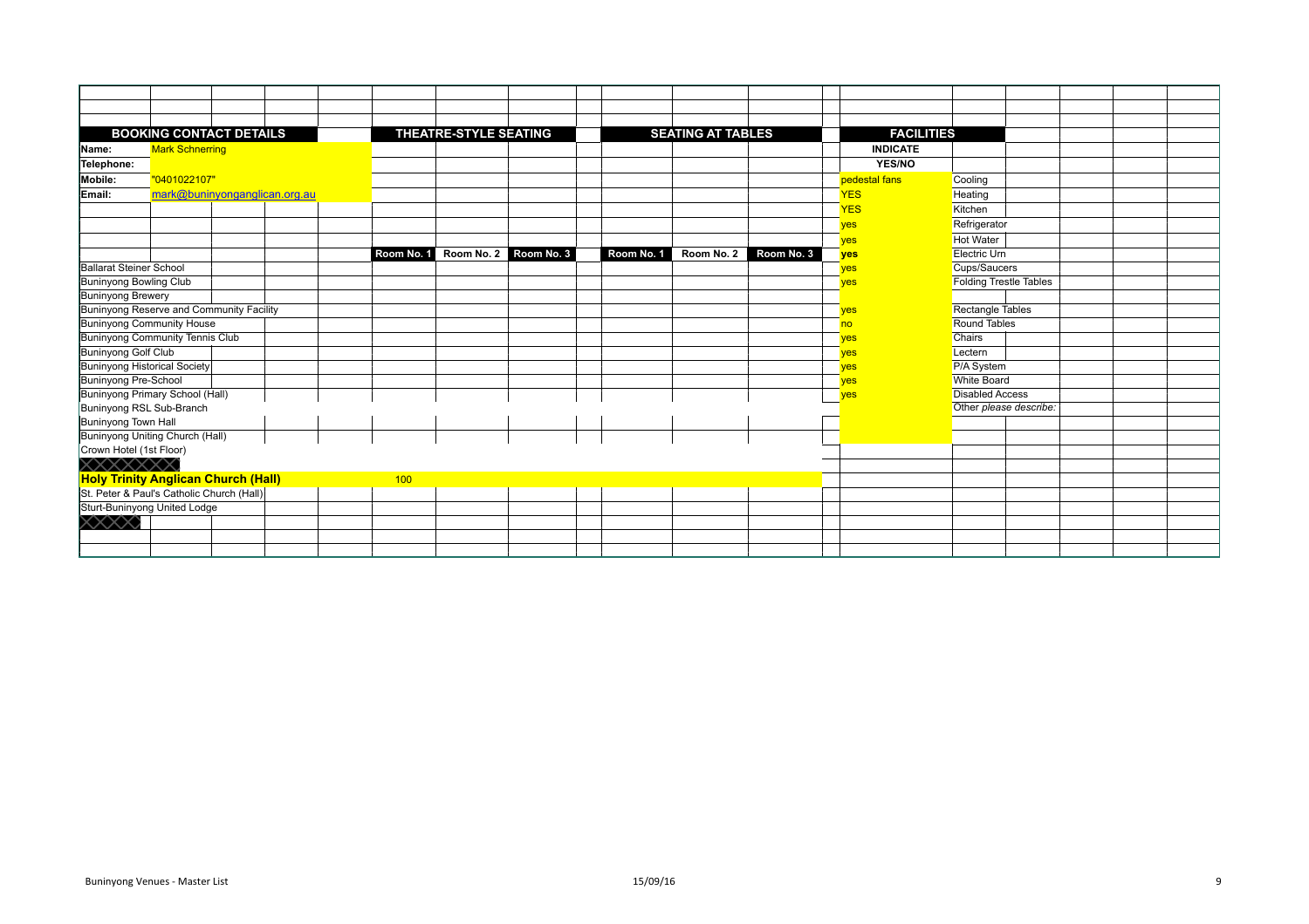|                                            | <b>BOOKING CONTACT DETAILS</b> |  |            | THEATRE-STYLE SEATING |  |            | <b>SEATING AT TABLES</b> |            | <b>FACILITIES</b> |                               |  |  |
|--------------------------------------------|--------------------------------|--|------------|-----------------------|--|------------|--------------------------|------------|-------------------|-------------------------------|--|--|
| Name:                                      | <b>Mark Schnerring</b>         |  |            |                       |  |            |                          |            | <b>INDICATE</b>   |                               |  |  |
| Telephone:                                 |                                |  |            |                       |  |            |                          |            | <b>YES/NO</b>     |                               |  |  |
| Mobile:                                    | "0401022107"                   |  |            |                       |  |            |                          |            | pedestal fans     | Cooling                       |  |  |
| Email:                                     | mark@buninyonganglican.org.au  |  |            |                       |  |            |                          |            | <b>YES</b>        | Heating                       |  |  |
|                                            |                                |  |            |                       |  |            |                          |            | <b>YES</b>        | Kitchen                       |  |  |
|                                            |                                |  |            |                       |  |            |                          |            | yes               | Refrigerator                  |  |  |
|                                            |                                |  |            |                       |  |            |                          |            | ves               | Hot Water                     |  |  |
|                                            |                                |  | Room No. 1 | Room No. 2 Room No. 3 |  | Room No. 1 | Room No. 2               | Room No. 3 | <b>ves</b>        | <b>Electric Urn</b>           |  |  |
| <b>Ballarat Steiner School</b>             |                                |  |            |                       |  |            |                          |            | <b>ves</b>        | Cups/Saucers                  |  |  |
| Buninyong Bowling Club                     |                                |  |            |                       |  |            |                          |            | <b>Ves</b>        | <b>Folding Trestle Tables</b> |  |  |
| <b>Buninyong Brewery</b>                   |                                |  |            |                       |  |            |                          |            |                   |                               |  |  |
| Buninyong Reserve and Community Facility   |                                |  |            |                       |  |            |                          |            | <b>Ves</b>        | Rectangle Tables              |  |  |
| <b>Buninyong Community House</b>           |                                |  |            |                       |  |            |                          |            | n <sub>o</sub>    | <b>Round Tables</b>           |  |  |
| Buninyong Community Tennis Club            |                                |  |            |                       |  |            |                          |            | yes               | <b>Chairs</b>                 |  |  |
| Buninyong Golf Club                        |                                |  |            |                       |  |            |                          |            | yes               | Lectern                       |  |  |
| <b>Buninyong Historical Society</b>        |                                |  |            |                       |  |            |                          |            | yes               | P/A System                    |  |  |
| <b>Buninyong Pre-School</b>                |                                |  |            |                       |  |            |                          |            | ves               | White Board                   |  |  |
| Buninyong Primary School (Hall)            |                                |  |            |                       |  |            |                          |            | <b>ves</b>        | <b>Disabled Access</b>        |  |  |
| Buninyong RSL Sub-Branch                   |                                |  |            |                       |  |            |                          |            |                   | Other please describe:        |  |  |
| Buninyong Town Hall                        |                                |  |            |                       |  |            |                          |            |                   |                               |  |  |
| Buninyong Uniting Church (Hall)            |                                |  |            |                       |  |            |                          |            |                   |                               |  |  |
| Crown Hotel (1st Floor)                    |                                |  |            |                       |  |            |                          |            |                   |                               |  |  |
| XXXXXX                                     |                                |  |            |                       |  |            |                          |            |                   |                               |  |  |
| <b>Holy Trinity Anglican Church (Hall)</b> |                                |  | 100        |                       |  |            |                          |            |                   |                               |  |  |
| St. Peter & Paul's Catholic Church (Hall)  |                                |  |            |                       |  |            |                          |            |                   |                               |  |  |
| Sturt-Buninyong United Lodge               |                                |  |            |                       |  |            |                          |            |                   |                               |  |  |
| $\times\!\!\times\!\!\times\!\!\times$     |                                |  |            |                       |  |            |                          |            |                   |                               |  |  |
|                                            |                                |  |            |                       |  |            |                          |            |                   |                               |  |  |
|                                            |                                |  |            |                       |  |            |                          |            |                   |                               |  |  |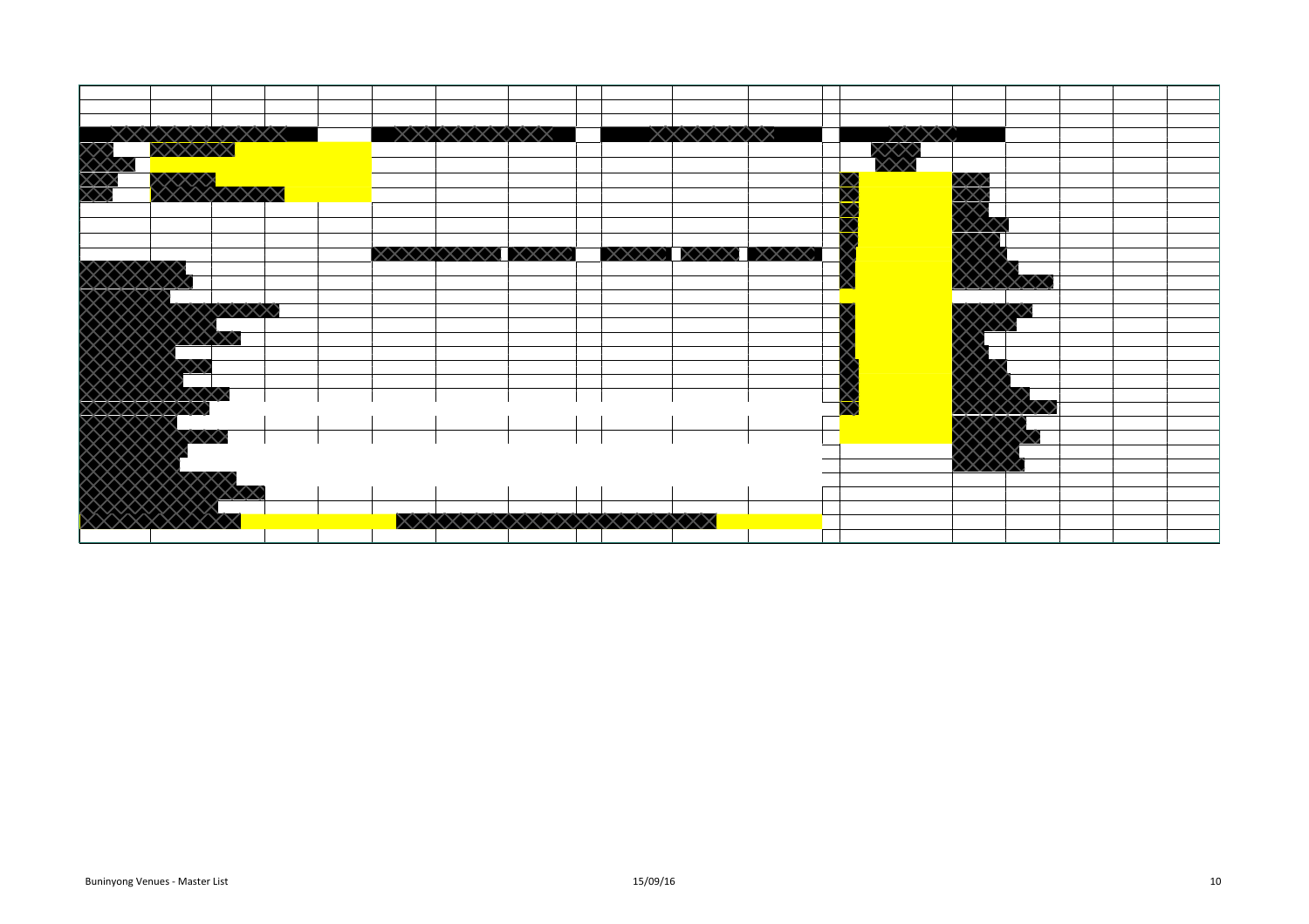|          | $\begin{picture}(10,10) \put(0,0){\line(1,0){15}} \put(15,0){\line(1,0){15}} \put(15,0){\line(1,0){15}} \put(15,0){\line(1,0){15}} \put(15,0){\line(1,0){15}} \put(15,0){\line(1,0){15}} \put(15,0){\line(1,0){15}} \put(15,0){\line(1,0){15}} \put(15,0){\line(1,0){15}} \put(15,0){\line(1,0){15}} \put(15,0){\line(1,0){15}} \put(15,0){\line(1$ |        |  | $\times\times\times\times\times\times\times$ |  | XXXXXXX |  |          |                        |  |  |
|----------|-----------------------------------------------------------------------------------------------------------------------------------------------------------------------------------------------------------------------------------------------------------------------------------------------------------------------------------------------------|--------|--|----------------------------------------------|--|---------|--|----------|------------------------|--|--|
| $\times$ |                                                                                                                                                                                                                                                                                                                                                     |        |  |                                              |  |         |  |          |                        |  |  |
|          |                                                                                                                                                                                                                                                                                                                                                     |        |  |                                              |  |         |  |          | $\overline{\text{XX}}$ |  |  |
|          |                                                                                                                                                                                                                                                                                                                                                     |        |  |                                              |  |         |  |          |                        |  |  |
|          | XXXXXXXX                                                                                                                                                                                                                                                                                                                                            |        |  |                                              |  |         |  |          |                        |  |  |
|          |                                                                                                                                                                                                                                                                                                                                                     |        |  |                                              |  |         |  | XXXXX    |                        |  |  |
|          |                                                                                                                                                                                                                                                                                                                                                     |        |  |                                              |  |         |  |          |                        |  |  |
|          |                                                                                                                                                                                                                                                                                                                                                     |        |  |                                              |  |         |  |          |                        |  |  |
|          |                                                                                                                                                                                                                                                                                                                                                     |        |  | XXXXXXXXXXXXXX                               |  |         |  |          |                        |  |  |
|          |                                                                                                                                                                                                                                                                                                                                                     |        |  |                                              |  |         |  |          |                        |  |  |
|          |                                                                                                                                                                                                                                                                                                                                                     |        |  |                                              |  |         |  | $\times$ |                        |  |  |
|          |                                                                                                                                                                                                                                                                                                                                                     |        |  |                                              |  |         |  |          |                        |  |  |
|          |                                                                                                                                                                                                                                                                                                                                                     | XXXXX. |  |                                              |  |         |  |          |                        |  |  |
|          |                                                                                                                                                                                                                                                                                                                                                     |        |  |                                              |  |         |  |          |                        |  |  |
|          | XXXX)                                                                                                                                                                                                                                                                                                                                               |        |  |                                              |  |         |  |          |                        |  |  |
|          |                                                                                                                                                                                                                                                                                                                                                     |        |  |                                              |  |         |  |          |                        |  |  |
|          |                                                                                                                                                                                                                                                                                                                                                     |        |  |                                              |  |         |  |          |                        |  |  |
|          |                                                                                                                                                                                                                                                                                                                                                     |        |  |                                              |  |         |  |          |                        |  |  |
|          |                                                                                                                                                                                                                                                                                                                                                     |        |  |                                              |  |         |  |          |                        |  |  |
|          |                                                                                                                                                                                                                                                                                                                                                     |        |  |                                              |  |         |  |          |                        |  |  |
|          |                                                                                                                                                                                                                                                                                                                                                     |        |  |                                              |  |         |  |          |                        |  |  |
|          |                                                                                                                                                                                                                                                                                                                                                     |        |  |                                              |  |         |  |          |                        |  |  |
|          |                                                                                                                                                                                                                                                                                                                                                     |        |  |                                              |  |         |  |          |                        |  |  |
|          |                                                                                                                                                                                                                                                                                                                                                     |        |  |                                              |  |         |  |          |                        |  |  |
|          |                                                                                                                                                                                                                                                                                                                                                     |        |  |                                              |  |         |  |          |                        |  |  |
|          |                                                                                                                                                                                                                                                                                                                                                     |        |  |                                              |  |         |  |          |                        |  |  |
|          |                                                                                                                                                                                                                                                                                                                                                     |        |  | <b>XXXXXXXXXXXXXXXXXX</b>                    |  |         |  |          |                        |  |  |
|          |                                                                                                                                                                                                                                                                                                                                                     |        |  |                                              |  |         |  |          |                        |  |  |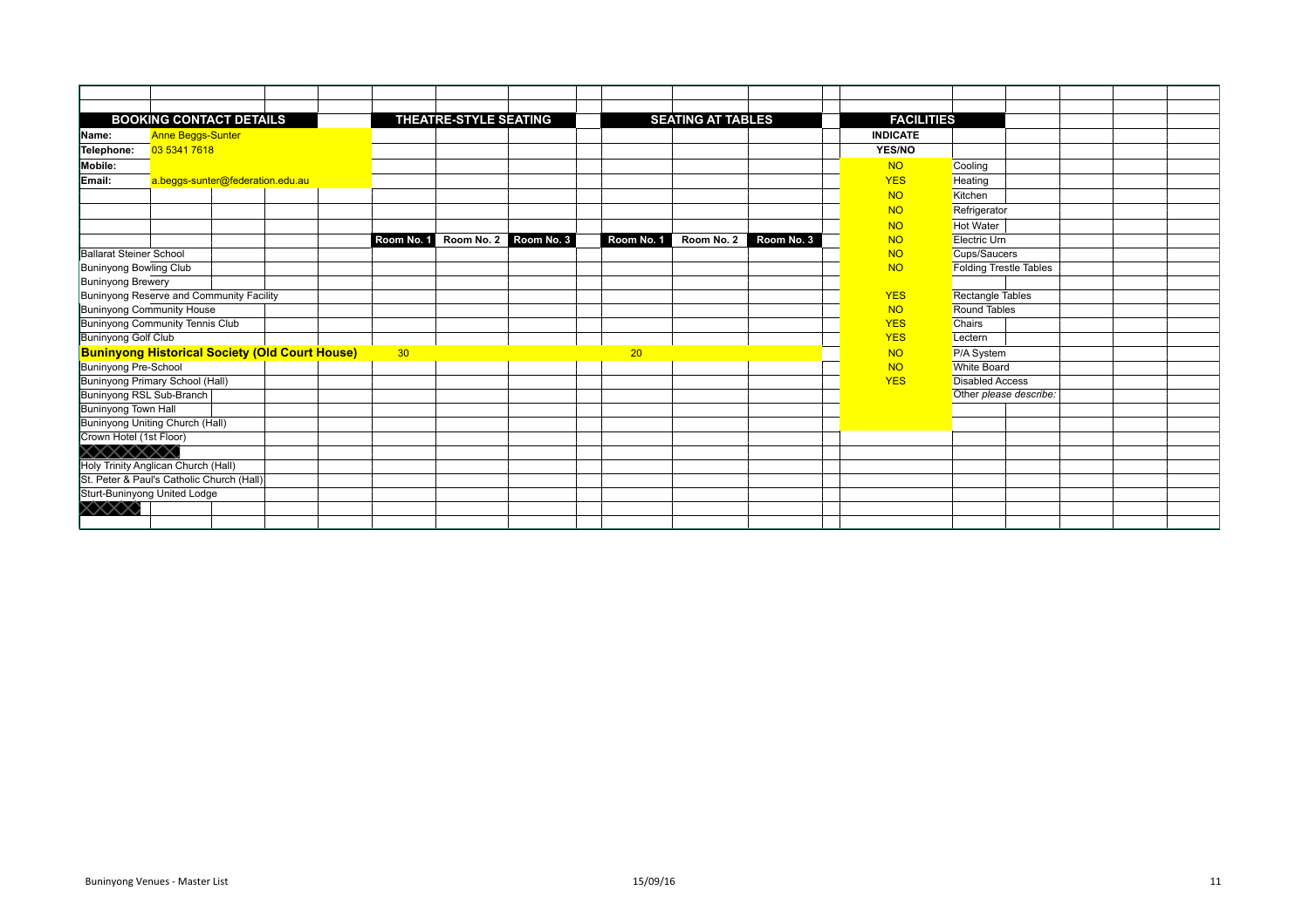|                                                       | <b>BOOKING CONTACT DETAILS</b>   |  |            | <b>THEATRE-STYLE SEATING</b> |            |            | <b>SEATING AT TABLES</b> |            | <b>FACILITIES</b> |                               |  |  |
|-------------------------------------------------------|----------------------------------|--|------------|------------------------------|------------|------------|--------------------------|------------|-------------------|-------------------------------|--|--|
| Name:                                                 | <b>Anne Beggs-Sunter</b>         |  |            |                              |            |            |                          |            | <b>INDICATE</b>   |                               |  |  |
| Telephone:                                            | 03 5341 7618                     |  |            |                              |            |            |                          |            | YES/NO            |                               |  |  |
| Mobile:                                               |                                  |  |            |                              |            |            |                          |            | <b>NO</b>         | Cooling                       |  |  |
| Email:                                                | a.beggs-sunter@federation.edu.au |  |            |                              |            |            |                          |            | <b>YES</b>        | Heating                       |  |  |
|                                                       |                                  |  |            |                              |            |            |                          |            | <b>NO</b>         | Kitchen                       |  |  |
|                                                       |                                  |  |            |                              |            |            |                          |            | <b>NO</b>         | Refrigerator                  |  |  |
|                                                       |                                  |  |            |                              |            |            |                          |            | <b>NO</b>         | Hot Water                     |  |  |
|                                                       |                                  |  | Room No. 1 | Room No. 2                   | Room No. 3 | Room No. 1 | Room No. 2               | Room No. 3 | <b>NO</b>         | Electric Urn                  |  |  |
| <b>Ballarat Steiner School</b>                        |                                  |  |            |                              |            |            |                          |            | <b>NO</b>         | Cups/Saucers                  |  |  |
| <b>Buninyong Bowling Club</b>                         |                                  |  |            |                              |            |            |                          |            | <b>NO</b>         | <b>Folding Trestle Tables</b> |  |  |
| <b>Buninyong Brewery</b>                              |                                  |  |            |                              |            |            |                          |            |                   |                               |  |  |
| Buninyong Reserve and Community Facility              |                                  |  |            |                              |            |            |                          |            | <b>YES</b>        | <b>Rectangle Tables</b>       |  |  |
| <b>Buninyong Community House</b>                      |                                  |  |            |                              |            |            |                          |            | <b>NO</b>         | <b>Round Tables</b>           |  |  |
| Buninyong Community Tennis Club                       |                                  |  |            |                              |            |            |                          |            | <b>YES</b>        | <b>Chairs</b>                 |  |  |
| <b>Buninyong Golf Club</b>                            |                                  |  |            |                              |            |            |                          |            | <b>YES</b>        | Lectern                       |  |  |
| <b>Buninyong Historical Society (Old Court House)</b> |                                  |  | 30         |                              |            | 20         |                          |            | <b>NO</b>         | P/A System                    |  |  |
| Buninyong Pre-School                                  |                                  |  |            |                              |            |            |                          |            | <b>NO</b>         | <b>White Board</b>            |  |  |
| Buninyong Primary School (Hall)                       |                                  |  |            |                              |            |            |                          |            | <b>YES</b>        | <b>Disabled Access</b>        |  |  |
| Buninyong RSL Sub-Branch                              |                                  |  |            |                              |            |            |                          |            |                   | Other please describe:        |  |  |
| Buninyong Town Hall                                   |                                  |  |            |                              |            |            |                          |            |                   |                               |  |  |
| Buninyong Uniting Church (Hall)                       |                                  |  |            |                              |            |            |                          |            |                   |                               |  |  |
| Crown Hotel (1st Floor)                               |                                  |  |            |                              |            |            |                          |            |                   |                               |  |  |
| XXXXXXX                                               |                                  |  |            |                              |            |            |                          |            |                   |                               |  |  |
| Holy Trinity Anglican Church (Hall)                   |                                  |  |            |                              |            |            |                          |            |                   |                               |  |  |
| St. Peter & Paul's Catholic Church (Hall)             |                                  |  |            |                              |            |            |                          |            |                   |                               |  |  |
| Sturt-Buninyong United Lodge                          |                                  |  |            |                              |            |            |                          |            |                   |                               |  |  |
| $\times\!\!\times\!\!\times\!\!\times$                |                                  |  |            |                              |            |            |                          |            |                   |                               |  |  |
|                                                       |                                  |  |            |                              |            |            |                          |            |                   |                               |  |  |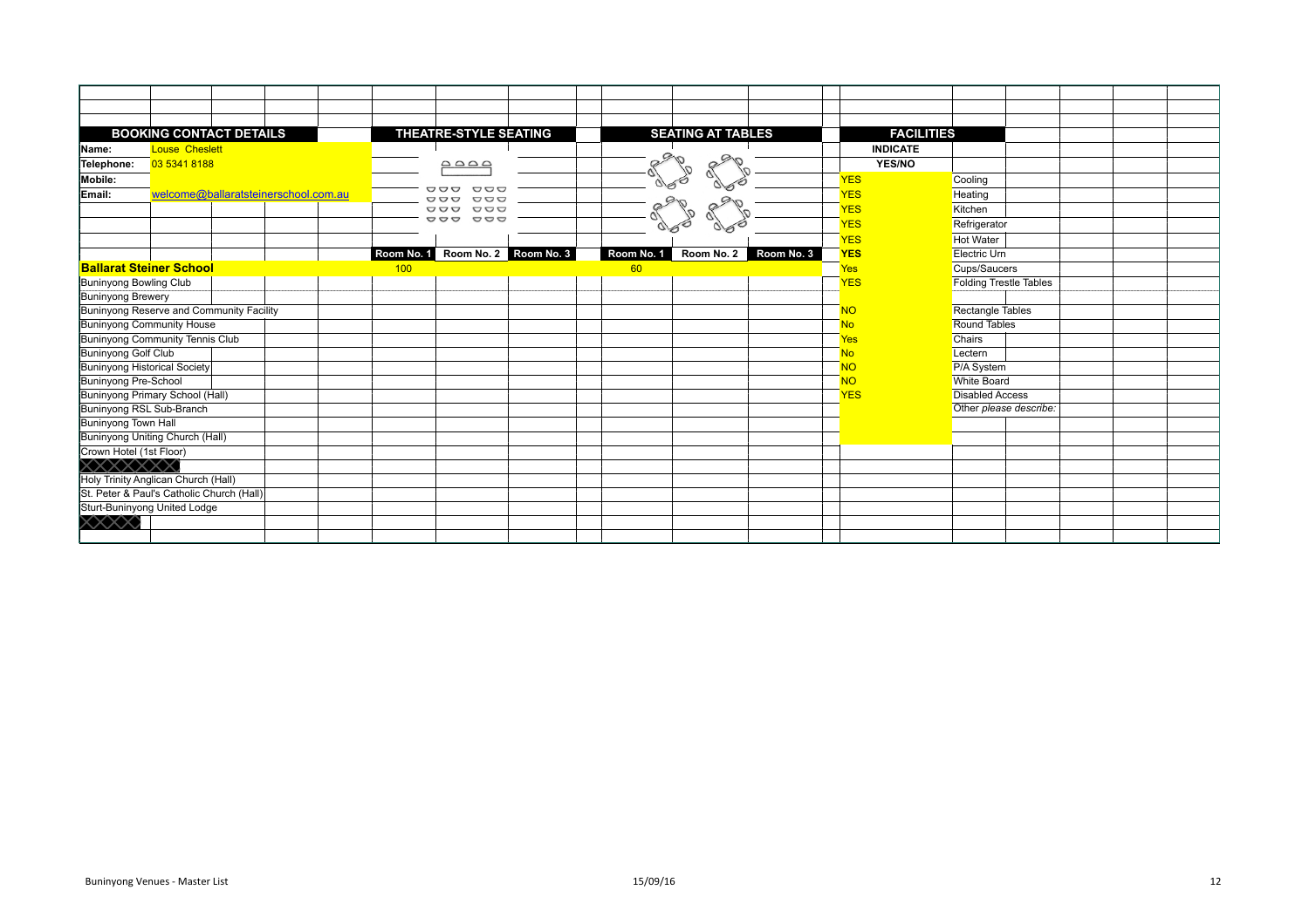|                                                        | <b>BOOKING CONTACT DETAILS</b>            |  |            | THEATRE-STYLE SEATING                           |            | <b>SEATING AT TABLES</b> |            |            | <b>FACILITIES</b> |                                                  |  |  |
|--------------------------------------------------------|-------------------------------------------|--|------------|-------------------------------------------------|------------|--------------------------|------------|------------|-------------------|--------------------------------------------------|--|--|
| Name:                                                  | <b>Louse Cheslett</b>                     |  |            |                                                 |            |                          |            |            | <b>INDICATE</b>   |                                                  |  |  |
| Telephone:                                             | 03 5341 8188                              |  |            | $\triangle$ $\triangle$ $\triangle$ $\triangle$ |            |                          |            |            | YES/NO            |                                                  |  |  |
| Mobile:                                                |                                           |  |            |                                                 |            |                          |            | <b>YES</b> |                   | Cooling                                          |  |  |
| Email:                                                 | welcome@ballaratsteinerschool.com.au      |  |            | 000<br>O<br>ᆷ                                   |            |                          |            | <b>YES</b> |                   | Heating                                          |  |  |
|                                                        |                                           |  |            | OOO<br><b>000</b>                               |            |                          |            | <b>YES</b> |                   | Kitchen                                          |  |  |
|                                                        |                                           |  |            | 000<br>000                                      |            |                          |            | <b>YES</b> |                   | Refrigerator                                     |  |  |
|                                                        |                                           |  |            |                                                 |            |                          |            | <b>YES</b> |                   | Hot Water                                        |  |  |
|                                                        |                                           |  | Room No. 1 | Room No. 2 Room No. 3                           | Room No. 1 | Room No. 2               | Room No. 3 | <b>YES</b> |                   | Electric Um                                      |  |  |
|                                                        | <b>Ballarat Steiner School</b>            |  | 100        |                                                 | 60         |                          |            | <b>Yes</b> |                   | Cups/Saucers                                     |  |  |
| Buninyong Bowling Club                                 |                                           |  |            |                                                 |            |                          |            | <b>YES</b> |                   | <b>Folding Trestle Tables</b>                    |  |  |
| Buninyong Brewery                                      |                                           |  |            |                                                 |            |                          |            |            |                   |                                                  |  |  |
|                                                        | Buninyong Reserve and Community Facility  |  |            |                                                 |            |                          |            | <b>NO</b>  |                   | <b>Rectangle Tables</b>                          |  |  |
|                                                        | <b>Buninyong Community House</b>          |  |            |                                                 |            |                          |            | <b>No</b>  |                   | <b>Round Tables</b>                              |  |  |
|                                                        | Buninyong Community Tennis Club           |  |            |                                                 |            |                          |            | Yes        |                   | <b>Chairs</b>                                    |  |  |
| <b>Buninyong Golf Club</b>                             |                                           |  |            |                                                 |            |                          |            | <b>No</b>  |                   | Lectern                                          |  |  |
|                                                        | <b>Buninyong Historical Society</b>       |  |            |                                                 |            |                          |            | <b>NO</b>  |                   | P/A System                                       |  |  |
| Buninyong Pre-School                                   |                                           |  |            |                                                 |            |                          |            | <b>NO</b>  |                   | <b>White Board</b>                               |  |  |
|                                                        | Buninyong Primary School (Hall)           |  |            |                                                 |            |                          |            | <b>YES</b> |                   | <b>Disabled Access</b><br>Other please describe: |  |  |
| Buninyong RSL Sub-Branch<br><b>Buninyong Town Hall</b> |                                           |  |            |                                                 |            |                          |            |            |                   |                                                  |  |  |
|                                                        | Buninyong Uniting Church (Hall)           |  |            |                                                 |            |                          |            |            |                   |                                                  |  |  |
| Crown Hotel (1st Floor)                                |                                           |  |            |                                                 |            |                          |            |            |                   |                                                  |  |  |
|                                                        |                                           |  |            |                                                 |            |                          |            |            |                   |                                                  |  |  |
|                                                        | Holy Trinity Anglican Church (Hall)       |  |            |                                                 |            |                          |            |            |                   |                                                  |  |  |
|                                                        | St. Peter & Paul's Catholic Church (Hall) |  |            |                                                 |            |                          |            |            |                   |                                                  |  |  |
|                                                        | Sturt-Buninyong United Lodge              |  |            |                                                 |            |                          |            |            |                   |                                                  |  |  |
| $\times\!\!\times\!\!\times\!\!\times$                 |                                           |  |            |                                                 |            |                          |            |            |                   |                                                  |  |  |
|                                                        |                                           |  |            |                                                 |            |                          |            |            |                   |                                                  |  |  |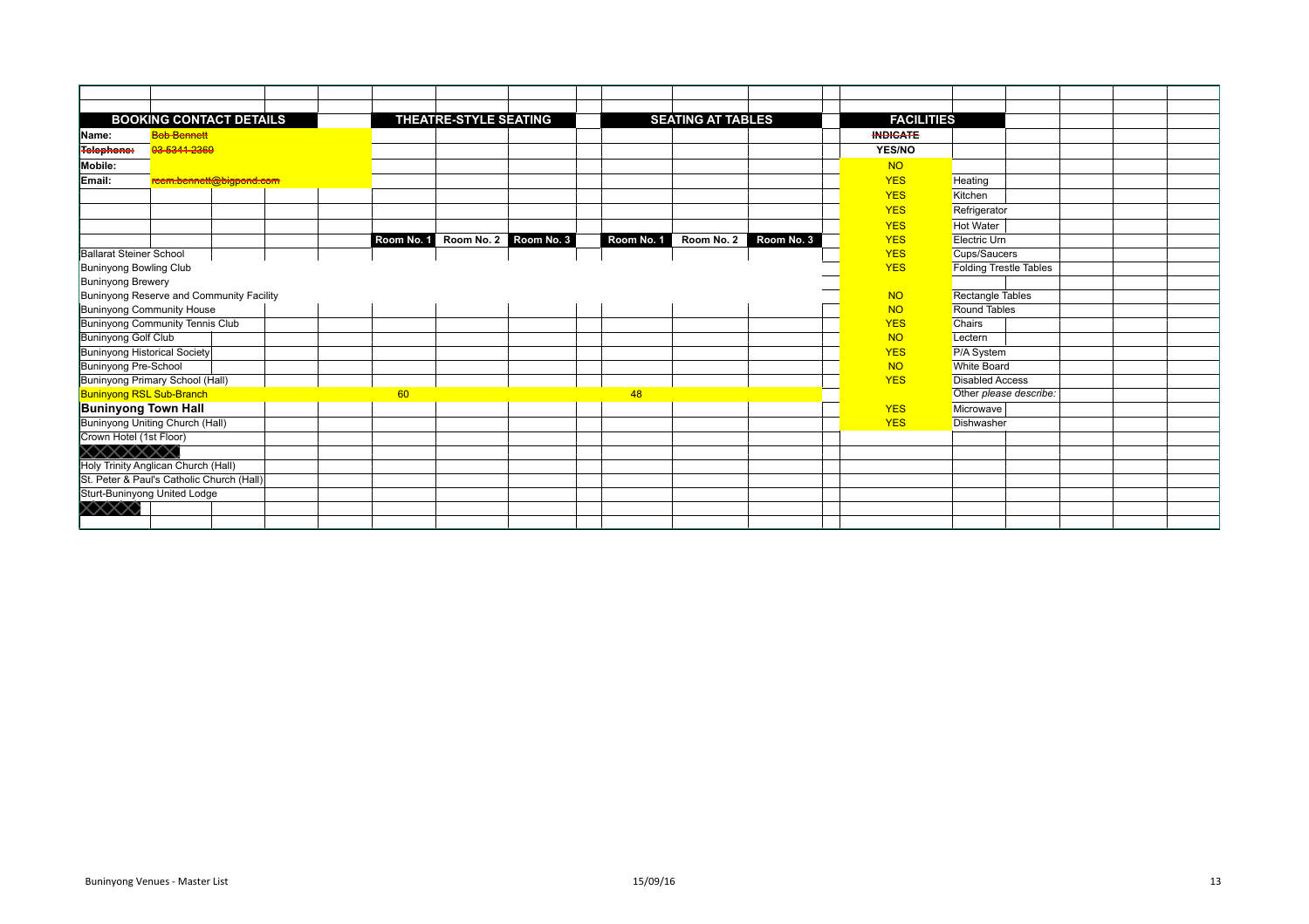|                                           | <b>BOOKING CONTACT DETAILS</b> |  |            | THEATRE-STYLE SEATING |                       |            | <b>SEATING AT TABLES</b> |            | <b>FACILITIES</b> |                               |  |  |
|-------------------------------------------|--------------------------------|--|------------|-----------------------|-----------------------|------------|--------------------------|------------|-------------------|-------------------------------|--|--|
|                                           |                                |  |            |                       |                       |            |                          |            |                   |                               |  |  |
| Name:                                     | <b>Bob Bennett</b>             |  |            |                       |                       |            |                          |            | <b>INDICATE</b>   |                               |  |  |
| <b>Telephone:</b>                         | 03 5341 2369                   |  |            |                       |                       |            |                          |            | <b>YES/NO</b>     |                               |  |  |
| Mobile:                                   |                                |  |            |                       |                       |            |                          |            | <b>NO</b>         |                               |  |  |
| Email:                                    | reem.bennett@bigpond.com       |  |            |                       |                       |            |                          |            | <b>YES</b>        | Heating                       |  |  |
|                                           |                                |  |            |                       |                       |            |                          |            | <b>YES</b>        | Kitchen                       |  |  |
|                                           |                                |  |            |                       |                       |            |                          |            | <b>YES</b>        | Refrigerator                  |  |  |
|                                           |                                |  |            |                       |                       |            |                          |            | <b>YES</b>        | Hot Water                     |  |  |
|                                           |                                |  | Room No. 1 |                       | Room No. 2 Room No. 3 | Room No. 1 | Room No. 2               | Room No. 3 | <b>YES</b>        | Electric Urn                  |  |  |
| <b>Ballarat Steiner School</b>            |                                |  |            |                       |                       |            |                          |            | <b>YES</b>        | Cups/Saucers                  |  |  |
| Buninyong Bowling Club                    |                                |  |            |                       |                       |            |                          |            | <b>YES</b>        | <b>Folding Trestle Tables</b> |  |  |
| <b>Buninyong Brewery</b>                  |                                |  |            |                       |                       |            |                          |            |                   |                               |  |  |
| Buninyong Reserve and Community Facility  |                                |  |            |                       |                       |            |                          |            | <b>NO</b>         | <b>Rectangle Tables</b>       |  |  |
| Buninyong Community House                 |                                |  |            |                       |                       |            |                          |            | <b>NO</b>         | <b>Round Tables</b>           |  |  |
| Buninyong Community Tennis Club           |                                |  |            |                       |                       |            |                          |            | <b>YES</b>        | <b>Chairs</b>                 |  |  |
| <b>Buninyong Golf Club</b>                |                                |  |            |                       |                       |            |                          |            | <b>NO</b>         | Lectern                       |  |  |
| Buninyong Historical Society              |                                |  |            |                       |                       |            |                          |            | <b>YES</b>        | P/A System                    |  |  |
| Buninyong Pre-School                      |                                |  |            |                       |                       |            |                          |            | <b>NO</b>         | <b>White Board</b>            |  |  |
| Buninyong Primary School (Hall)           |                                |  |            |                       |                       |            |                          |            | <b>YES</b>        | <b>Disabled Access</b>        |  |  |
| <b>Buninyong RSL Sub-Branch</b>           |                                |  | 60         |                       |                       | 48         |                          |            |                   | Other please describe:        |  |  |
| <b>Buninyong Town Hall</b>                |                                |  |            |                       |                       |            |                          |            | <b>YES</b>        | Microwave                     |  |  |
| Buninyong Uniting Church (Hall)           |                                |  |            |                       |                       |            |                          |            | <b>YES</b>        | Dishwasher                    |  |  |
| Crown Hotel (1st Floor)                   |                                |  |            |                       |                       |            |                          |            |                   |                               |  |  |
| XXXXXXX                                   |                                |  |            |                       |                       |            |                          |            |                   |                               |  |  |
| Holy Trinity Anglican Church (Hall)       |                                |  |            |                       |                       |            |                          |            |                   |                               |  |  |
| St. Peter & Paul's Catholic Church (Hall) |                                |  |            |                       |                       |            |                          |            |                   |                               |  |  |
| Sturt-Buninyong United Lodge              |                                |  |            |                       |                       |            |                          |            |                   |                               |  |  |
| $\chi\chi\chi\chi$                        |                                |  |            |                       |                       |            |                          |            |                   |                               |  |  |
|                                           |                                |  |            |                       |                       |            |                          |            |                   |                               |  |  |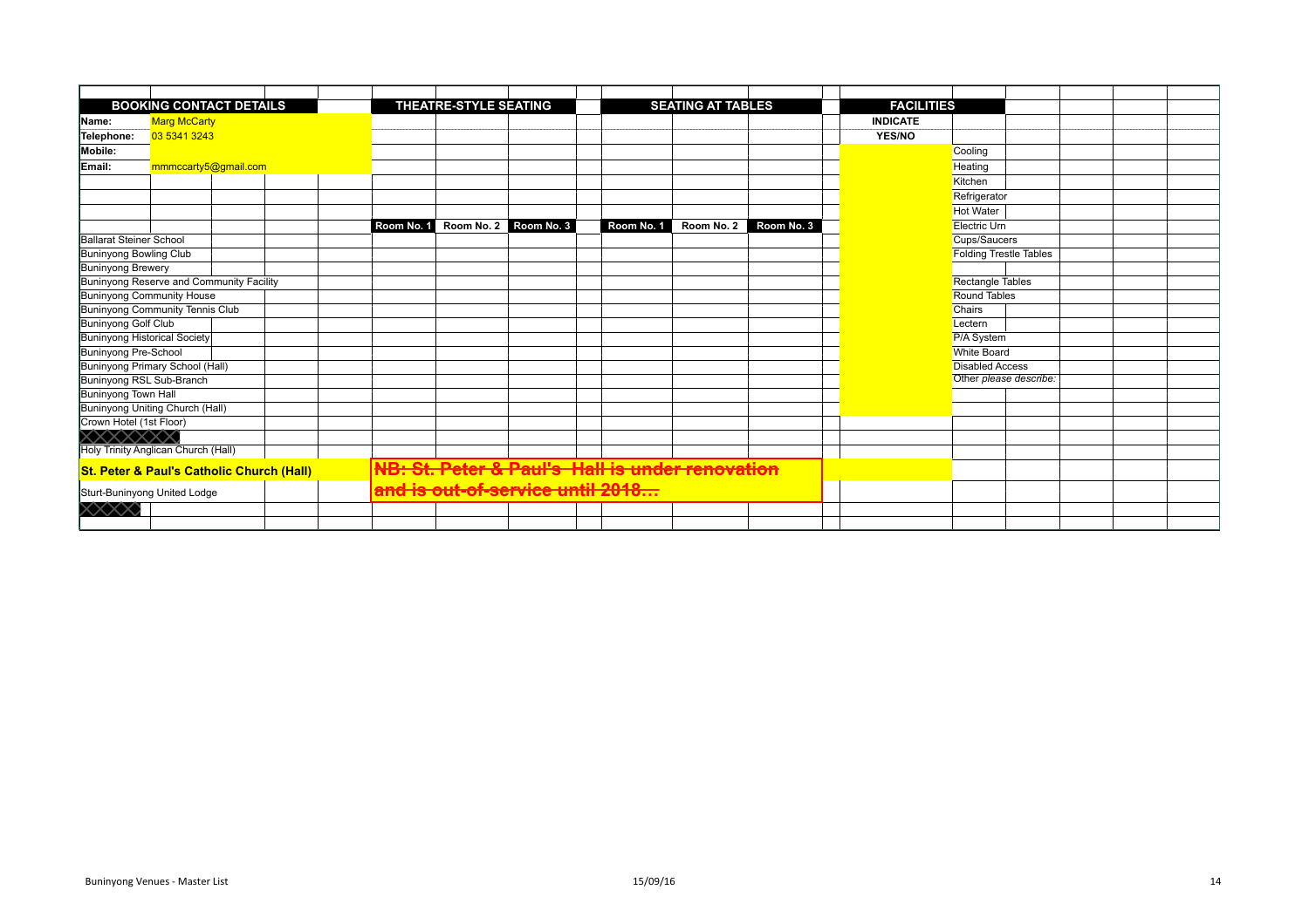|                                                      | <b>BOOKING CONTACT DETAILS</b> |  |            | THEATRE-STYLE SEATING            |  |            | <b>SEATING AT TABLES</b>                        |            | <b>FACILITIES</b> |                               |  |  |
|------------------------------------------------------|--------------------------------|--|------------|----------------------------------|--|------------|-------------------------------------------------|------------|-------------------|-------------------------------|--|--|
| Name:                                                | <b>Marg McCarty</b>            |  |            |                                  |  |            |                                                 |            | <b>INDICATE</b>   |                               |  |  |
| Telephone:                                           | 03 5341 3243                   |  |            |                                  |  |            |                                                 |            | <b>YES/NO</b>     |                               |  |  |
| Mobile:                                              |                                |  |            |                                  |  |            |                                                 |            |                   | Cooling                       |  |  |
| Email:                                               | mmmccarty5@gmail.com           |  |            |                                  |  |            |                                                 |            |                   | Heating                       |  |  |
|                                                      |                                |  |            |                                  |  |            |                                                 |            |                   | Kitchen                       |  |  |
|                                                      |                                |  |            |                                  |  |            |                                                 |            |                   | Refrigerator                  |  |  |
|                                                      |                                |  |            |                                  |  |            |                                                 |            |                   | <b>Hot Water</b>              |  |  |
|                                                      |                                |  | Room No. 1 | Room No. 2 Room No. 3            |  | Room No. 1 | Room No. 2                                      | Room No. 3 |                   | <b>Electric Urn</b>           |  |  |
| <b>Ballarat Steiner School</b>                       |                                |  |            |                                  |  |            |                                                 |            |                   | Cups/Saucers                  |  |  |
| Buninyong Bowling Club                               |                                |  |            |                                  |  |            |                                                 |            |                   | <b>Folding Trestle Tables</b> |  |  |
| Buninyong Brewery                                    |                                |  |            |                                  |  |            |                                                 |            |                   |                               |  |  |
| Buninyong Reserve and Community Facility             |                                |  |            |                                  |  |            |                                                 |            |                   | <b>Rectangle Tables</b>       |  |  |
| <b>Buninyong Community House</b>                     |                                |  |            |                                  |  |            |                                                 |            |                   | <b>Round Tables</b>           |  |  |
| Buninyong Community Tennis Club                      |                                |  |            |                                  |  |            |                                                 |            |                   | <b>Chairs</b>                 |  |  |
| Buninyong Golf Club                                  |                                |  |            |                                  |  |            |                                                 |            |                   | Lectern                       |  |  |
| <b>Buninyong Historical Society</b>                  |                                |  |            |                                  |  |            |                                                 |            |                   | P/A System                    |  |  |
| Buninyong Pre-School                                 |                                |  |            |                                  |  |            |                                                 |            |                   | <b>White Board</b>            |  |  |
| Buninyong Primary School (Hall)                      |                                |  |            |                                  |  |            |                                                 |            |                   | <b>Disabled Access</b>        |  |  |
| Buninyong RSL Sub-Branch                             |                                |  |            |                                  |  |            |                                                 |            |                   | Other please describe:        |  |  |
| Buninyong Town Hall                                  |                                |  |            |                                  |  |            |                                                 |            |                   |                               |  |  |
| Buninyong Uniting Church (Hall)                      |                                |  |            |                                  |  |            |                                                 |            |                   |                               |  |  |
| Crown Hotel (1st Floor)                              |                                |  |            |                                  |  |            |                                                 |            |                   |                               |  |  |
| <b>XXXXXXX</b>                                       |                                |  |            |                                  |  |            |                                                 |            |                   |                               |  |  |
| Holy Trinity Anglican Church (Hall)                  |                                |  |            |                                  |  |            |                                                 |            |                   |                               |  |  |
| <b>St. Peter &amp; Paul's Catholic Church (Hall)</b> |                                |  |            |                                  |  |            | NB: St. Peter & Paul's Hall is under renovation |            |                   |                               |  |  |
| Sturt-Buninyong United Lodge                         |                                |  |            | and is out-of-service until 2018 |  |            |                                                 |            |                   |                               |  |  |
| $\times\!\!\times\!\!\times\!\!\times$               |                                |  |            |                                  |  |            |                                                 |            |                   |                               |  |  |
|                                                      |                                |  |            |                                  |  |            |                                                 |            |                   |                               |  |  |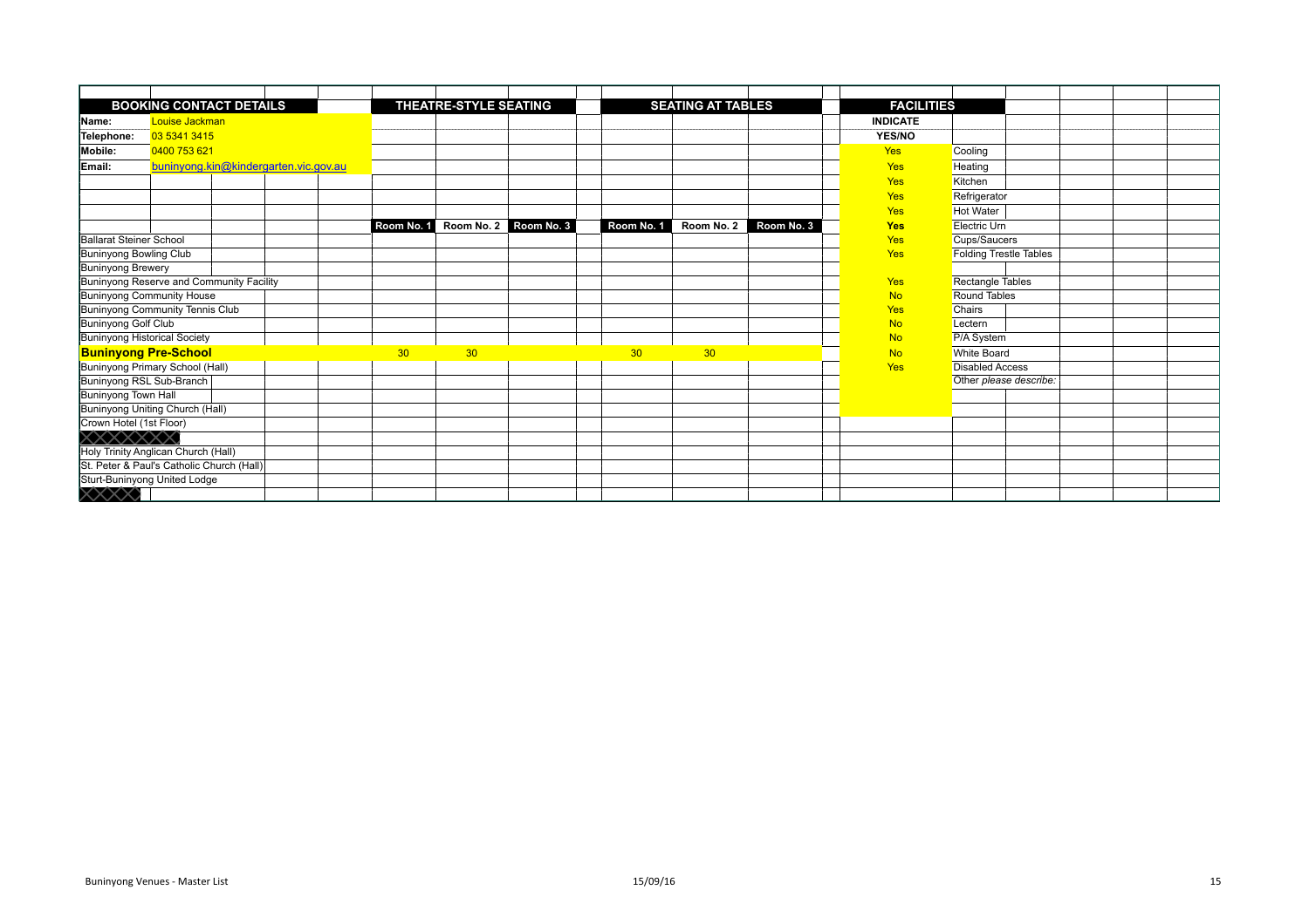|                                                                    | <b>BOOKING CONTACT DETAILS</b>            |  |  |            | <b>THEATRE-STYLE SEATING</b> |                       |            | <b>SEATING AT TABLES</b> |            | <b>FACILITIES</b> |                               |  |  |
|--------------------------------------------------------------------|-------------------------------------------|--|--|------------|------------------------------|-----------------------|------------|--------------------------|------------|-------------------|-------------------------------|--|--|
| Name:                                                              | Louise Jackman                            |  |  |            |                              |                       |            |                          |            | <b>INDICATE</b>   |                               |  |  |
| Telephone:                                                         | 03 5341 3415                              |  |  |            |                              |                       |            |                          |            | <b>YES/NO</b>     |                               |  |  |
| Mobile:                                                            | 0400 753 621                              |  |  |            |                              |                       |            |                          |            | Yes               | Cooling                       |  |  |
| Email:                                                             | buninyong.kin@kindergarten.vic.gov.au     |  |  |            |                              |                       |            |                          |            | <b>Yes</b>        | Heating                       |  |  |
|                                                                    |                                           |  |  |            |                              |                       |            |                          |            | <b>Yes</b>        | Kitchen                       |  |  |
|                                                                    |                                           |  |  |            |                              |                       |            |                          |            | <b>Yes</b>        | Refrigerator                  |  |  |
|                                                                    |                                           |  |  |            |                              |                       |            |                          |            | <b>Yes</b>        | Hot Water                     |  |  |
|                                                                    |                                           |  |  | Room No. 1 |                              | Room No. 2 Room No. 3 | Room No. 1 | Room No. 2               | Room No. 3 | <b>Yes</b>        | Electric Urn                  |  |  |
| <b>Ballarat Steiner School</b>                                     |                                           |  |  |            |                              |                       |            |                          |            | Yes               | Cups/Saucers                  |  |  |
| <b>Buninyong Bowling Club</b>                                      |                                           |  |  |            |                              |                       |            |                          |            | Yes               | <b>Folding Trestle Tables</b> |  |  |
| <b>Buninyong Brewery</b>                                           |                                           |  |  |            |                              |                       |            |                          |            |                   |                               |  |  |
| Buninyong Reserve and Community Facility                           |                                           |  |  |            |                              |                       |            |                          |            | <b>Yes</b>        | <b>Rectangle Tables</b>       |  |  |
| <b>Buninyong Community House</b>                                   |                                           |  |  |            |                              |                       |            |                          |            | <b>No</b>         | <b>Round Tables</b>           |  |  |
| Buninyong Community Tennis Club                                    |                                           |  |  |            |                              |                       |            |                          |            | Yes               | <b>Chairs</b>                 |  |  |
| <b>Buninyong Golf Club</b>                                         |                                           |  |  |            |                              |                       |            |                          |            | <b>No</b>         | Lectern                       |  |  |
| <b>Buninyong Historical Society</b>                                |                                           |  |  |            |                              |                       |            |                          |            | <b>No</b>         | P/A System                    |  |  |
| <b>Buninyong Pre-School</b>                                        |                                           |  |  | 30         | 30                           |                       | 30         | 30                       |            | <b>No</b>         | <b>White Board</b>            |  |  |
| Buninyong Primary School (Hall)                                    |                                           |  |  |            |                              |                       |            |                          |            | Yes               | <b>Disabled Access</b>        |  |  |
| Buninyong RSL Sub-Branch                                           |                                           |  |  |            |                              |                       |            |                          |            |                   | Other please describe.        |  |  |
| <b>Buninyong Town Hall</b>                                         |                                           |  |  |            |                              |                       |            |                          |            |                   |                               |  |  |
| Buninyong Uniting Church (Hall)                                    |                                           |  |  |            |                              |                       |            |                          |            |                   |                               |  |  |
| Crown Hotel (1st Floor)                                            |                                           |  |  |            |                              |                       |            |                          |            |                   |                               |  |  |
| $\times\times\times\times\times\times$                             |                                           |  |  |            |                              |                       |            |                          |            |                   |                               |  |  |
| Holy Trinity Anglican Church (Hall)                                |                                           |  |  |            |                              |                       |            |                          |            |                   |                               |  |  |
|                                                                    | St. Peter & Paul's Catholic Church (Hall) |  |  |            |                              |                       |            |                          |            |                   |                               |  |  |
| Sturt-Buninyong United Lodge                                       |                                           |  |  |            |                              |                       |            |                          |            |                   |                               |  |  |
| $\triangleright\!\!\!\!\times\!\!\!\times\!\!\!\times\!\!\!\times$ |                                           |  |  |            |                              |                       |            |                          |            |                   |                               |  |  |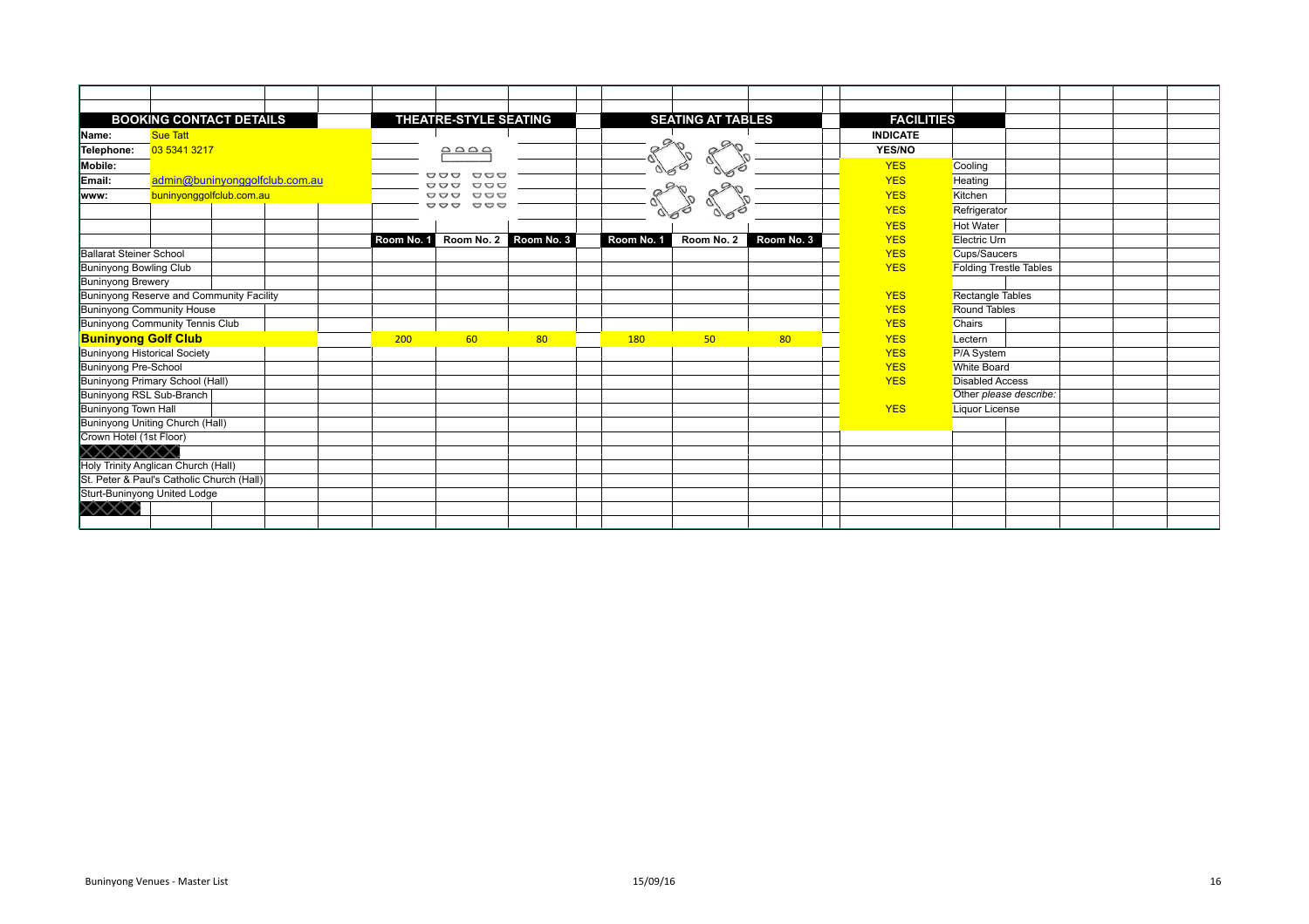|                                           | <b>BOOKING CONTACT DETAILS</b>           |  |  |  |            | THEATRE-STYLE SEATING       |            |              |            | <b>SEATING AT TABLES</b> |            |  | <b>FACILITIES</b> |                               |  |  |
|-------------------------------------------|------------------------------------------|--|--|--|------------|-----------------------------|------------|--------------|------------|--------------------------|------------|--|-------------------|-------------------------------|--|--|
| Name:                                     | <b>Sue Tatt</b>                          |  |  |  |            |                             |            |              |            |                          |            |  | <b>INDICATE</b>   |                               |  |  |
| Telephone:                                | 03 5341 3217                             |  |  |  |            |                             |            |              |            |                          |            |  | <b>YES/NO</b>     |                               |  |  |
| Mobile:                                   |                                          |  |  |  |            |                             |            |              |            |                          |            |  | <b>YES</b>        | Cooling                       |  |  |
| Email:                                    | admin@buninyonggolfclub.com.au           |  |  |  |            | ᇰ<br>ᇰ<br>ᇹᇢ<br>ᇢ<br>٣<br>D |            |              |            |                          |            |  | <b>YES</b>        | Heating                       |  |  |
| www:                                      | buninyonggolfclub.com.au                 |  |  |  |            | 000<br>995<br>000           |            |              |            |                          |            |  | <b>YES</b>        | Kitchen                       |  |  |
|                                           |                                          |  |  |  | 000        |                             | <b>YES</b> | Refrigerator |            |                          |            |  |                   |                               |  |  |
|                                           |                                          |  |  |  |            |                             |            |              |            |                          |            |  | <b>YES</b>        | <b>Hot Water</b>              |  |  |
|                                           |                                          |  |  |  | Room No. 1 | Room No. 2                  | Room No. 3 |              | Room No. 1 | Room No. 2               | Room No. 3 |  | <b>YES</b>        | <b>Electric Urn</b>           |  |  |
| <b>Ballarat Steiner School</b>            |                                          |  |  |  |            |                             |            |              |            |                          |            |  | <b>YES</b>        | Cups/Saucers                  |  |  |
| Buninyong Bowling Club                    |                                          |  |  |  |            |                             |            |              |            |                          |            |  | <b>YES</b>        | <b>Folding Trestle Tables</b> |  |  |
| Buninyong Brewery                         |                                          |  |  |  |            |                             |            |              |            |                          |            |  |                   |                               |  |  |
|                                           | Buninyong Reserve and Community Facility |  |  |  |            |                             |            |              |            |                          |            |  | <b>YES</b>        | <b>Rectangle Tables</b>       |  |  |
| <b>Buninyong Community House</b>          |                                          |  |  |  |            |                             |            |              |            |                          |            |  | <b>YES</b>        | <b>Round Tables</b>           |  |  |
| <b>Buninyong Community Tennis Club</b>    |                                          |  |  |  |            |                             |            |              |            |                          |            |  | <b>YES</b>        | <b>Chairs</b>                 |  |  |
| <b>Buninyong Golf Club</b>                |                                          |  |  |  | 200        | 60                          | 80         |              | 180        | 50                       | 80         |  | <b>YES</b>        | Lectern                       |  |  |
| Buninyong Historical Society              |                                          |  |  |  |            |                             |            |              |            |                          |            |  | <b>YES</b>        | P/A System                    |  |  |
| Buninyong Pre-School                      |                                          |  |  |  |            |                             |            |              |            |                          |            |  | <b>YES</b>        | <b>White Board</b>            |  |  |
| Buninyong Primary School (Hall)           |                                          |  |  |  |            |                             |            |              |            |                          |            |  | <b>YES</b>        | <b>Disabled Access</b>        |  |  |
| Buninyong RSL Sub-Branch                  |                                          |  |  |  |            |                             |            |              |            |                          |            |  |                   | Other please describe:        |  |  |
| Buninyong Town Hall                       |                                          |  |  |  |            |                             |            |              |            |                          |            |  | <b>YES</b>        | Liquor License                |  |  |
| Buninyong Uniting Church (Hall)           |                                          |  |  |  |            |                             |            |              |            |                          |            |  |                   |                               |  |  |
| Crown Hotel (1st Floor)                   |                                          |  |  |  |            |                             |            |              |            |                          |            |  |                   |                               |  |  |
| XXXXXXX                                   |                                          |  |  |  |            |                             |            |              |            |                          |            |  |                   |                               |  |  |
| Holy Trinity Anglican Church (Hall)       |                                          |  |  |  |            |                             |            |              |            |                          |            |  |                   |                               |  |  |
| St. Peter & Paul's Catholic Church (Hall) |                                          |  |  |  |            |                             |            |              |            |                          |            |  |                   |                               |  |  |
| Sturt-Buninyong United Lodge              |                                          |  |  |  |            |                             |            |              |            |                          |            |  |                   |                               |  |  |
| $\times\!\!\times\!\!\times\!\!\times$    |                                          |  |  |  |            |                             |            |              |            |                          |            |  |                   |                               |  |  |
|                                           |                                          |  |  |  |            |                             |            |              |            |                          |            |  |                   |                               |  |  |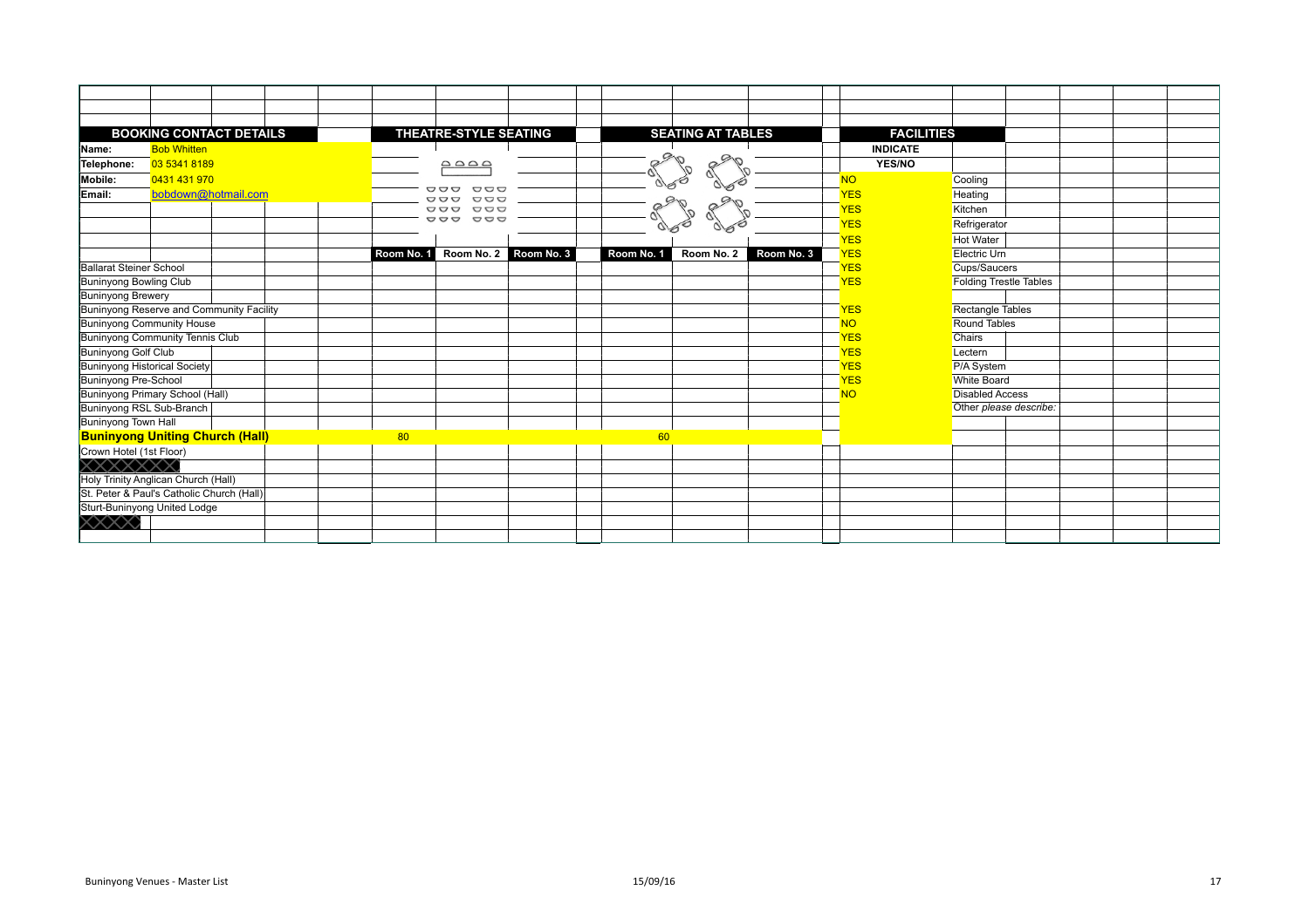|                                                                | <b>BOOKING CONTACT DETAILS</b> |  |            | THEATRE-STYLE SEATING                                            |            |            | <b>SEATING AT TABLES</b> |            |                         | <b>FACILITIES</b> |                                       |  |  |
|----------------------------------------------------------------|--------------------------------|--|------------|------------------------------------------------------------------|------------|------------|--------------------------|------------|-------------------------|-------------------|---------------------------------------|--|--|
| Name:                                                          | <b>Bob Whitten</b>             |  |            |                                                                  |            |            |                          |            |                         | <b>INDICATE</b>   |                                       |  |  |
| Telephone:                                                     | 03 5341 8189                   |  |            | $\begin{array}{c} \triangle & \triangle & \triangle \end{array}$ |            | o          |                          |            |                         | YES/NO            |                                       |  |  |
| Mobile:                                                        | 0431 431 970                   |  |            |                                                                  |            |            |                          |            | <b>NO</b>               |                   | Cooling                               |  |  |
| Email:                                                         | bobdown@hotmail.com            |  |            | $\overline{a}$<br>$\bigcirc$<br>ᆼ                                |            |            |                          |            | <b>YES</b>              |                   | Heating                               |  |  |
|                                                                |                                |  |            | ᇢᇢᇢ<br>000                                                       |            |            |                          |            | <b>YES</b>              |                   | Kitchen                               |  |  |
|                                                                |                                |  |            | 000<br>000                                                       |            |            |                          |            | <b>YES</b>              |                   | Refrigerator                          |  |  |
|                                                                |                                |  |            |                                                                  |            |            |                          |            | <b>YES</b>              |                   | <b>Hot Water</b>                      |  |  |
|                                                                |                                |  | Room No. 1 | Room No. 2                                                       | Room No. 3 | Room No. 1 | Room No. 2               | Room No. 3 | <b>YES</b>              |                   | Electric Um                           |  |  |
| <b>Ballarat Steiner School</b>                                 |                                |  |            |                                                                  |            |            |                          |            | <b>YES</b>              |                   | Cups/Saucers                          |  |  |
| <b>Buninyong Bowling Club</b>                                  |                                |  |            |                                                                  |            |            |                          |            | <b>YES</b>              |                   | <b>Folding Trestle Tables</b>         |  |  |
| <b>Buninyong Brewery</b>                                       |                                |  |            |                                                                  |            |            |                          |            |                         |                   |                                       |  |  |
| Buninyong Reserve and Community Facility                       |                                |  |            |                                                                  |            |            |                          |            | <b>YES</b>              |                   | Rectangle Tables                      |  |  |
| <b>Buninyong Community House</b>                               |                                |  |            |                                                                  |            |            |                          |            | <b>NO</b>               |                   | <b>Round Tables</b>                   |  |  |
| Buninyong Community Tennis Club                                |                                |  |            |                                                                  |            |            |                          |            | <b>YES</b>              |                   | <b>Chairs</b>                         |  |  |
| Buninyong Golf Club                                            |                                |  |            |                                                                  |            |            |                          |            | <b>YES</b>              |                   | Lectern                               |  |  |
| <b>Buninyong Historical Society</b>                            |                                |  |            |                                                                  |            |            |                          |            | <b>YES</b>              |                   | P/A System                            |  |  |
| <b>Buninyong Pre-School</b><br>Buninyong Primary School (Hall) |                                |  |            |                                                                  |            |            |                          |            | <b>YES</b><br><b>NO</b> |                   | White Board<br><b>Disabled Access</b> |  |  |
| Buninyong RSL Sub-Branch                                       |                                |  |            |                                                                  |            |            |                          |            |                         |                   | Other please describe:                |  |  |
| Buninyong Town Hall                                            |                                |  |            |                                                                  |            |            |                          |            |                         |                   |                                       |  |  |
| <b>Buninyong Uniting Church (Hall)</b>                         |                                |  | 80         |                                                                  |            | 60         |                          |            |                         |                   |                                       |  |  |
| Crown Hotel (1st Floor)                                        |                                |  |            |                                                                  |            |            |                          |            |                         |                   |                                       |  |  |
|                                                                |                                |  |            |                                                                  |            |            |                          |            |                         |                   |                                       |  |  |
| Holy Trinity Anglican Church (Hall)                            |                                |  |            |                                                                  |            |            |                          |            |                         |                   |                                       |  |  |
| St. Peter & Paul's Catholic Church (Hall)                      |                                |  |            |                                                                  |            |            |                          |            |                         |                   |                                       |  |  |
| Sturt-Buninyong United Lodge                                   |                                |  |            |                                                                  |            |            |                          |            |                         |                   |                                       |  |  |
| $\times\!\!\times\!\!\times\!\!\times$                         |                                |  |            |                                                                  |            |            |                          |            |                         |                   |                                       |  |  |
|                                                                |                                |  |            |                                                                  |            |            |                          |            |                         |                   |                                       |  |  |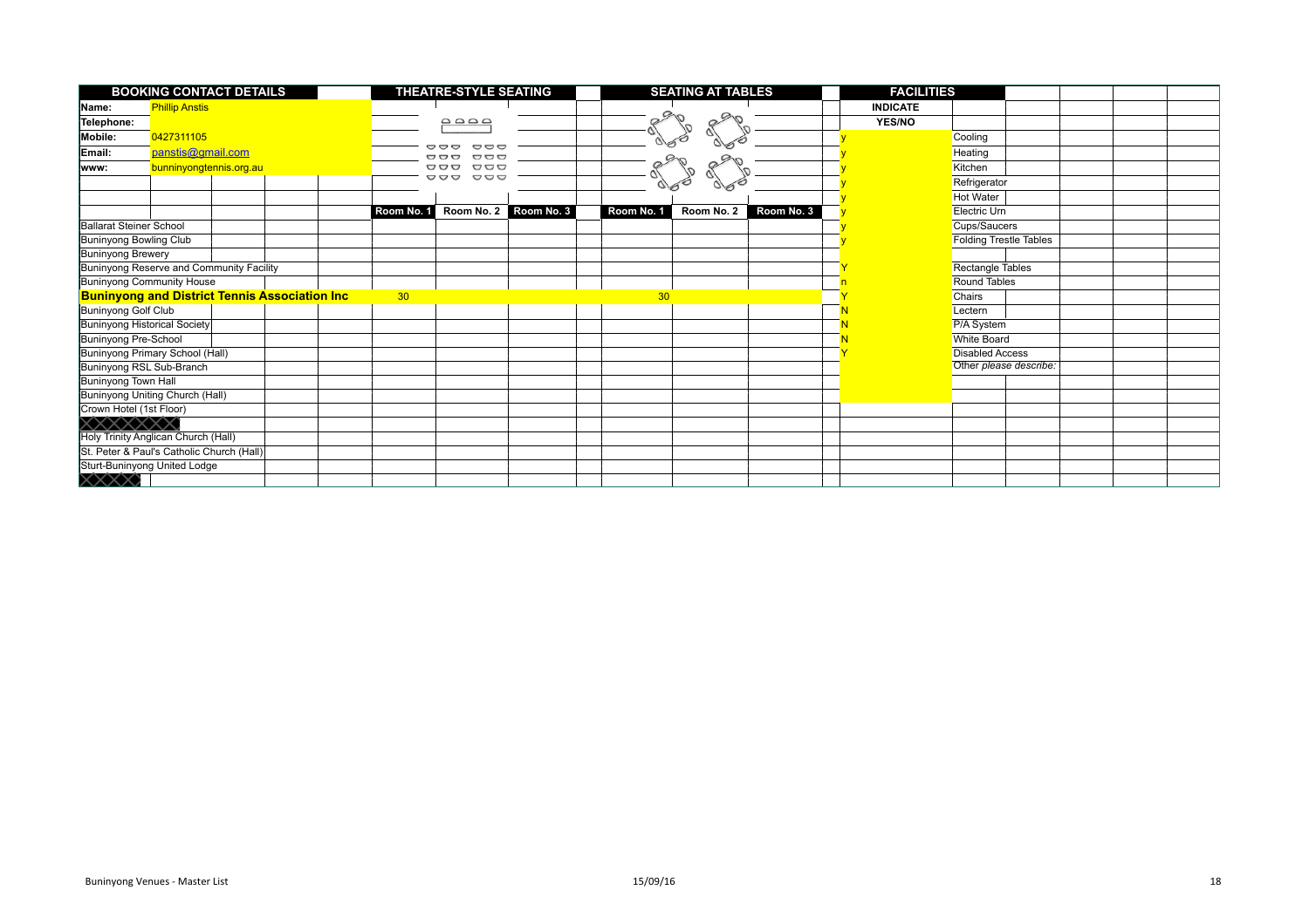|                                                      | <b>BOOKING CONTACT DETAILS</b> |  |                 | <b>THEATRE-STYLE SEATING</b>                                     |            |            | <b>SEATING AT TABLES</b> |            | <b>FACILITIES</b> |                               |  |  |
|------------------------------------------------------|--------------------------------|--|-----------------|------------------------------------------------------------------|------------|------------|--------------------------|------------|-------------------|-------------------------------|--|--|
| Name:                                                | <b>Phillip Anstis</b>          |  |                 |                                                                  |            |            |                          |            | <b>INDICATE</b>   |                               |  |  |
| Telephone:                                           |                                |  |                 | $\begin{array}{c} \triangle & \triangle & \triangle \end{array}$ |            |            |                          |            | <b>YES/NO</b>     |                               |  |  |
| Mobile:                                              | 0427311105                     |  |                 |                                                                  |            |            |                          |            |                   | Cooling                       |  |  |
| Email:                                               | panstis@gmail.com              |  |                 | U<br>$\bigcirc$<br>ᇢ<br>ヮ<br>---<br><b>000</b>                   |            |            |                          |            |                   | Heating                       |  |  |
| www:                                                 | bunninyongtennis.org.au        |  |                 | 000<br>---                                                       |            |            |                          |            |                   | Kitchen                       |  |  |
|                                                      |                                |  |                 | 000<br>---                                                       |            |            |                          |            |                   | Refrigerator                  |  |  |
|                                                      |                                |  |                 |                                                                  |            |            |                          |            |                   | <b>Hot Water</b>              |  |  |
|                                                      |                                |  | Room No. 1      | Room No. 2                                                       | Room No. 3 | Room No. 1 | Room No. 2               | Room No. 3 |                   | Electric Urn                  |  |  |
| <b>Ballarat Steiner School</b>                       |                                |  |                 |                                                                  |            |            |                          |            |                   | Cups/Saucers                  |  |  |
| Buninyong Bowling Club                               |                                |  |                 |                                                                  |            |            |                          |            |                   | <b>Folding Trestle Tables</b> |  |  |
| <b>Buninyong Brewery</b>                             |                                |  |                 |                                                                  |            |            |                          |            |                   |                               |  |  |
| Buninyong Reserve and Community Facility             |                                |  |                 |                                                                  |            |            |                          |            |                   | <b>Rectangle Tables</b>       |  |  |
| Buninyong Community House                            |                                |  |                 |                                                                  |            |            |                          |            |                   | <b>Round Tables</b>           |  |  |
| <b>Buninyong and District Tennis Association Inc</b> |                                |  | 30 <sub>o</sub> |                                                                  |            | 30         |                          |            |                   | <b>Chairs</b>                 |  |  |
| Buninyong Golf Club                                  |                                |  |                 |                                                                  |            |            |                          |            |                   | Lectern                       |  |  |
| <b>Buninyong Historical Society</b>                  |                                |  |                 |                                                                  |            |            |                          |            |                   | P/A System                    |  |  |
| Buninyong Pre-School                                 |                                |  |                 |                                                                  |            |            |                          |            |                   | <b>White Board</b>            |  |  |
| Buninyong Primary School (Hall)                      |                                |  |                 |                                                                  |            |            |                          |            |                   | <b>Disabled Access</b>        |  |  |
| Buninyong RSL Sub-Branch                             |                                |  |                 |                                                                  |            |            |                          |            |                   | Other please describe:        |  |  |
| Buninyong Town Hall                                  |                                |  |                 |                                                                  |            |            |                          |            |                   |                               |  |  |
| Buninyong Uniting Church (Hall)                      |                                |  |                 |                                                                  |            |            |                          |            |                   |                               |  |  |
| Crown Hotel (1st Floor)                              |                                |  |                 |                                                                  |            |            |                          |            |                   |                               |  |  |
| $\times\times\times\times\times\times$               |                                |  |                 |                                                                  |            |            |                          |            |                   |                               |  |  |
| Holy Trinity Anglican Church (Hall)                  |                                |  |                 |                                                                  |            |            |                          |            |                   |                               |  |  |
| St. Peter & Paul's Catholic Church (Hall)            |                                |  |                 |                                                                  |            |            |                          |            |                   |                               |  |  |
| Sturt-Buninyong United Lodge                         |                                |  |                 |                                                                  |            |            |                          |            |                   |                               |  |  |
| $\times\!\!\times\!\!\times\!\!\times$               |                                |  |                 |                                                                  |            |            |                          |            |                   |                               |  |  |